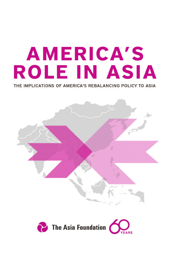# **AMERICA'S ROLE IN ASIA**

THE IMPLICATIONS OF AMERICA'S REBALANCING POLICY TO ASIA



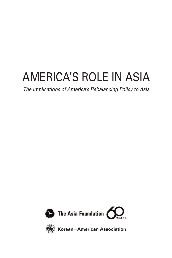## AMERICA'S ROLE IN ASIA

*The Implications of America's Rebalancing Policy to Asia*





**Korean**─**American Association**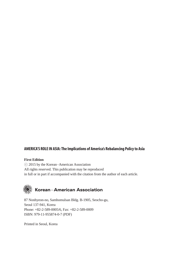#### **AMERICA'S ROLE IN ASIA: The Implications of America's Rebalancing Policy to Asia**

#### **First Edition**

ⓒ 2015 by the Korean American Association – All rights reserved. This publication may be reproduced in full or in part if accompanied with the citation from the author of each article.



87 Nonhyeon-no, Samhomulsan Bldg. B-1905, Seocho-gu, Seoul 137-941, Korea Phone: +82-2-589-0005/6, Fax: +82-2-589-0009 ISBN: 979-11-955874-0-7 (PDF)

Printed in Seoul, Korea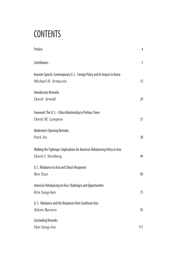## **CONTENTS**

| Keynote Speech: Contemporary U.S. Foreign Policy and its Impact in Korea     |    |
|------------------------------------------------------------------------------|----|
|                                                                              |    |
| <b>Introductory Remarks</b>                                                  |    |
| David Arnold 29                                                              |    |
| Foreword: The U.S.-China Relationship in Perilous Times                      |    |
| David M. Lampton 31                                                          |    |
| Moderator's Opening Remarks                                                  |    |
| Park Jin                                                                     | 38 |
| Walking the Tightrope: Implications for America's Rebalancing Policy in Asia |    |
|                                                                              | 44 |
| U. S. Rebalance to Asia and China's Responses                                |    |
| Ren Xiao                                                                     | 60 |
| America's Rebalancing to Asia: Challenges and Opportunities                  |    |
| Kim Sung-han 73                                                              |    |
| U. S. Rebalance and the Responses from Southeast Asia                        |    |
| Aileen Baviera 1923                                                          |    |
| <b>Concluding Remarks</b>                                                    |    |
| Han Sung-Joo                                                                 |    |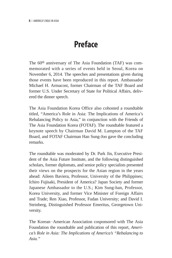## **Preface**

The 60th anniversary of The Asia Foundation (TAF) was commemorated with a series of events held in Seoul, Korea on November 6, 2014. The speeches and presentations given during those events have been reproduced in this report. Ambassador Michael H. Armacost, former Chairman of the TAF Board and former U.S. Under Secretary of State for Political Affairs, delivered the dinner speech.

The Asia Foundation Korea Office also cohosted a roundtable titled, "America's Role in Asia: The Implications of America's Rebalancing Policy to Asia," in conjunction with the Friends of The Asia Foundation Korea (FOTAF). The roundtable featured a keynote speech by Chairman David M. Lampton of the TAF Board, and FOTAF Chairman Han Sung-Joo gave the concluding remarks.

The roundtable was moderated by Dr. Park Jin, Executive President of the Asia Future Institute, and the following distinguished scholars, former diplomats, and senior policy specialists presented their views on the prospects for the Asian region in the years ahead: Aileen Baviera, Professor, University of the Philippines; Ichiro Fujisaki, President of America? Japan Society and former Japanese Ambassador to the U.S.; Kim Sung-han, Professor, Korea University, and former Vice Minister of Foreign Affairs and Trade; Ren Xiao, Professor, Fudan University; and David I. Steinberg, Distinguished Professor Emeritus, Georgetown University.

The Korean–American Association cosponsored with The Asia Foundation the roundtable and publication of this report, *America's Role in Asia: The Implications of America's "Rebalancing to Asia."*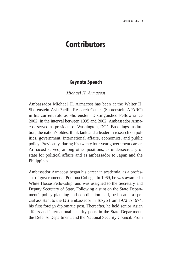### **Contributors**

#### **Keynote Speech**

*Michael H. Armacost*

Ambassador Michael H. Armacost has been at the Walter H. Shorenstein Asia-Pacific Research Center (Shorenstein APARC) in his current role as Shorenstein Distinguished Fellow since 2002. In the interval between 1995 and 2002, Ambassador Armacost served as president of Washington, DC's Brookings Institution, the nation's oldest think tank and a leader in research on politics, government, international affairs, economics, and public policy. Previously, during his twenty-four year government career, Armacost served, among other positions, as undersecretary of state for political affairs and as ambassador to Japan and the Philippines.

Ambassador Armacost began his career in academia, as a professor of government at Pomona College. In 1969, he was awarded a White House Fellowship, and was assigned to the Secretary and Deputy Secretary of State. Following a stint on the State Department's policy planning and coordination staff, he became a special assistant to the U.S. ambassador in Tokyo from 1972 to 1974, his first foreign diplomatic post. Thereafter, he held senior Asian affairs and international security posts in the State Department, the Defense Department, and the National Security Council. From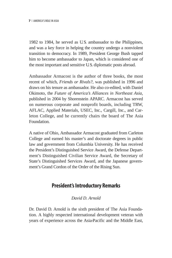1982 to 1984, he served as U.S. ambassador to the Philippines, and was a key force in helping the country undergo a nonviolent transition to democracy. In 1989, President George Bush tapped him to become ambassador to Japan, which is considered one of the most important and sensitive U.S. diplomatic posts abroad.

Ambassador Armacost is the author of three books, the most recent of which, *Friends or Rivals?*, was published in 1996 and draws on his tenure as ambassador. He also co-edited, with Daniel Okimoto, the *Future of America's Alliances in Northeast Asia,* published in 2004 by Shorenstein APARC. Armacost has served on numerous corporate and nonprofit boards, including TRW, AFLAC, Applied Materials, USEC, Inc., Cargill, Inc., and Carleton College, and he currently chairs the board of The Asia Foundation.

A native of Ohio, Ambassador Armacost graduated from Carleton College and earned his master's and doctorate degrees in public law and government from Columbia University. He has received the President's Distinguished Service Award, the Defense Department's Distinguished Civilian Service Award, the Secretary of State's Distinguished Services Award, and the Japanese government's Grand Cordon of the Order of the Rising Sun.

#### **President's Introductory Remarks**

#### *David D. Arnold*

Dr. David D. Arnold is the sixth president of The Asia Foundation. A highly respected international development veteran with years of experience across the Asia-Pacific and the Middle East,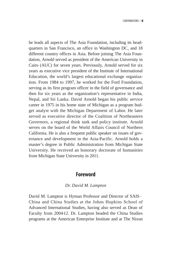he leads all aspects of The Asia Foundation, including its headquarters in San Francisco, an office in Washington DC, and 18 different country offices in Asia. Before joining The Asia Foundation, Arnold served as president of the American University in Cairo (AUC) for seven years. Previously, Arnold served for six years as executive vice president of the Institute of International Education, the world's largest educational exchange organization. From 1984 to 1997, he worked for the Ford Foundation, serving as its first program officer in the field of governance and then for six years as the organization's representative in India, Nepal, and Sri Lanka. David Arnold began his public service career in 1975 in his home state of Michigan as a program budget analyst with the Michigan Department of Labor. He later served as executive director of the Coalition of Northeastern Governors, a regional think tank and policy institute. Arnold serves on the board of the World Affairs Council of Northern California. He is also a frequent public speaker on issues of governance and development in the Asia-Pacific. Arnold holds a master's degree in Public Administration from Michigan State University. He received an honorary doctorate of humanities from Michigan State University in 2011.

#### **Foreword**

#### *Dr. David M. Lampton*

David M. Lampton is Hyman Professor and Director of SAIS– China and China Studies at the Johns Hopkins School of Advanced International Studies, having also served as Dean of Faculty from 2004-12. Dr. Lampton headed the China Studies programs at the American Enterprise Institute and at The Nixon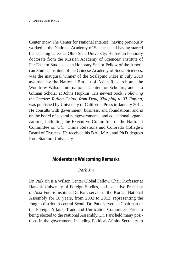Center (now The Center for National Interest), having previously worked at the National Academy of Sciences and having started his teaching career at Ohio State University. He has an honorary doctorate from the Russian Academy of Sciences' Institute of Far Eastern Studies, is an Honorary Senior Fellow of the American Studies Institute of the Chinese Academy of Social Sciences, was the inaugural winner of the Scalapino Prize in July 2010 awarded by the National Bureau of Asian Research and the Woodrow Wilson International Center for Scholars, and is a Gilman Scholar at Johns Hopkins. His newest book, *Following the Leader: Ruling China, from Deng Xiaoping to Xi Jinping*, was published by University of California Press in January 2014. He consults with government, business, and foundations, and is on the board of several nongovernmental and educational organi-–zations, including the Executive Committee of the National Committee on U.S. China Relations and Colorado College's Board of Trustees. He received his B.A., M.A., and Ph.D. degrees from Stanford University.

#### **Moderator's Welcoming Remarks**

#### *Park Jin*

Dr. Park Jin is a Wilson Center Global Fellow, Chair Professor at Hankuk University of Foreign Studies, and executive President of Asia Future Institute. Dr. Park served in the Korean National Assembly for 10 years, from 2002 to 2012, representing the Jongno district in central Seoul. Dr. Park served as Chairman of the Foreign Affairs, Trade and Unification Committee. Prior to being elected to the National Assembly, Dr. Park held many positions in the government, including Political Affairs Secretary to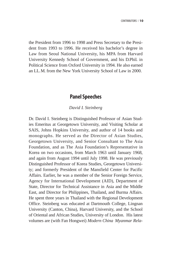the President from 1996 to 1998 and Press Secretary to the President from 1993 to 1996. He received his bachelor's degree in Law from Seoul National University, his MPA from Harvard University Kennedy School of Government, and his D.Phil. in Political Science from Oxford University in 1994. He also earned an LL.M. from the New York University School of Law in 2000.

#### **Panel Speeches**

#### *David I. Steinberg*

Dr. David I. Steinberg is Distinguished Professor of Asian Studies Emeritus at Georgetown University, and Visiting Scholar at SAIS, Johns Hopkins University, and author of 14 books and monographs. He served as the Director of Asian Studies, Georgetown University, and Senior Consultant to The Asia Foundation, and as The Asia Foundation's Representative in Korea on two occasions, from March 1963 until January 1968, and again from August 1994 until July 1998. He was previously Distinguished Professor of Korea Studies, Georgetown University; and formerly President of the Mansfield Center for Pacific Affairs. Earlier, he was a member of the Senior Foreign Service, Agency for International Development (AID), Department of State, Director for Technical Assistance in Asia and the Middle East, and Director for Philippines, Thailand, and Burma Affairs. He spent three years in Thailand with the Regional Development Office. Steinberg was educated at Dartmouth College, Lingnan University (Canton, China), Harvard University, and the School of Oriental and African Studies, University of London. His latest volumes are (with Fan Hongwei) *Modern China Myanmar Rela-*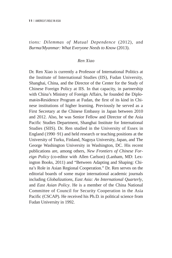*tions: Dilemmas of Mutual Dependence* (2012), and *Burma/Myanmar: What Everyone Needs to Know* (2013).

#### *Ren Xiao*

Dr. Ren Xiao is currently a Professor of International Politics at the Institute of International Studies (IIS), Fudan University, Shanghai, China, and the Director of the Center for the Study of Chinese Foreign Policy at IIS. In that capacity, in partnership with China's Ministry of Foreign Affairs, he founded the Diplomat-in-Residence Program at Fudan, the first of its kind in Chinese institutions of higher learning. Previously he served as a First Secretary at the Chinese Embassy in Japan between 2010 and 2012. Also, he was Senior Fellow and Director of the Asia Pacific Studies Department, Shanghai Institute for International Studies (SIIS). Dr. Ren studied in the University of Essex in England (1990–91) and held research or teaching positions at the University of Turku, Finland, Nagoya University, Japan, and The George Washington University in Washington, DC. His recent publications are, among others, *New Frontiers of Chinese Foreign Policy* (co-editor with Allen Carlson) (Lanham, MD: Lexington Books, 2011) and "Between Adapting and Shaping: China's Role in Asian Regional Cooperation." Dr. Ren serves on the editorial boards of some major international academic journals including *Globalizations*, *East Asia: An International Quarterly*, and *East Asian Policy*. He is a member of the China National Committee of Council for Security Cooperation in the Asia Pacific (CSCAP). He received his Ph.D. in political science from Fudan University in 1992.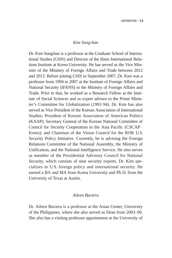#### *Kim Sung-han*

Dr. Kim Sung-han is a professor at the Graduate School of International Studies (GSIS) and Director of the Ilmin International Relations Institute at Korea University. He has served as the Vice Minister of the Ministry of Foreign Affairs and Trade between 2012 and 2013. Before joining GSIS in September 2007, Dr. Kim was a professor from 1994 to 2007 at the Institute of Foreign Affairs and National Security (IFANS) in the Ministry of Foreign Affairs and Trade. Prior to that, he worked as a Research Fellow at the Institute of Social Sciences and as expert advisor to the Prime Minister's Committee for Globalization (1992–94). Dr. Kim has also served as Vice President of the Korean Association of International Studies; President of Korean Association of American Politics (KAAP); Secretary General of the Korean National Committee of Council for Security Cooperation in the Asia Pacific (CSCAP– Korea); and Chairman of the Vision Council for the ROK U.S. Security Policy Initiative. Currently, he is advising the Foreign Relations Committee of the National Assembly, the Ministry of Unification, and the National Intelligence Service. He also serves as member of the Presidential Advisory Council for National Security, which consists of nine security experts. Dr. Kim specializes in U.S. foreign policy and international security. He earned a BA and MA from Korea University and Ph.D. from the University of Texas at Austin.

#### *Aileen Baviera*

Dr. Aileen Baviera is a professor at the Asian Center, University of the Philippines, where she also served as Dean from 2003–09. She also has a visiting professor appointment at the University of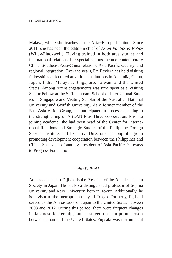Malaya, where she teaches at the Asia–Europe Institute. Since 2011, she has been the editor-in-chief of *Asian Politics & Policy* (Wiley-Blackwell). Having trained in both area studies and international relations, her specializations include contemporary China, Southeast Asia–China relations, Asia Pacific security, and regional integration. Over the years, Dr. Baviera has held visiting fellowships or lectured at various institutions in Australia, China, Japan, India, Malaysia, Singapore, Taiwan, and the United States. Among recent engagements was time spent as a Visiting Senior Fellow at the S. Rajaratnam School of International Studies in Singapore and Visiting Scholar of the Australian National University and Griffith University. As a former member of the East Asia Vision Group, she participated in processes leading to the strengthening of ASEAN Plus Three cooperation. Prior to joining academe, she had been head of the Center for International Relations and Strategic Studies of the Philippine Foreign Service Institute, and Executive Director of a nonprofit group promoting development cooperation between the Philippines and China. She is also founding president of Asia Pacific Pathways to Progress Foundation.

#### *Ichiro Fujisaki*

Ambassador Ichiro Fujisaki is the President of the America-Japan Society in Japan. He is also a distinguished professor of Sophia University and Keio University, both in Tokyo. Additionally, he is advisor to the metropolitan city of Tokyo. Formerly, Fujisaki served as the Ambassador of Japan to the United States between 2008 and 2012. During this period, there were frequent changes in Japanese leadership, but he stayed on as a point person between Japan and the United States. Fujisaki was instrumental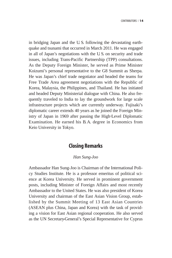in bridging Japan and the U. S. following the devastating earthquake and tsunami that occurred in March 2011. He was engaged in all of Japan's negotiations with the U. S. on security and trade issues, including Trans-Pacific Partnership (TPP) consultations. As the Deputy Foreign Minister, he served as Prime Minister Koizumi's personal representative to the G8 Summit as Sherpa. He was Japan's chief trade negotiator and headed the teams for Free Trade Area agreement negotiations with the Republic of Korea, Malaysia, the Philippines, and Thailand. He has initiated and headed Deputy Ministerial dialogue with China. He also frequently traveled to India to lay the groundwork for large scale infrastructure projects which are currently underway. Fujisaki's diplomatic career extends 40 years as he joined the Foreign Ministry of Japan in 1969 after passing the High-Level Diplomatic Examination. He earned his B. A. degree in Economics from Keio University in Tokyo.

#### **Closing Remarks**

#### *Han Sung-Joo*

Ambassador Han Sung-Joo is Chairman of the International Policy Studies Institute. He is a professor emeritus of political science at Korea University. He served in prominent government posts, including Minister of Foreign Affairs and most recently Ambassador to the United States. He was also president of Korea University and chairman of the East Asian Vision Group, established by the Summit Meeting of 13 East Asian Countries (ASEAN plus China, Japan and Korea) with the task of providing a vision for East Asian regional cooperation. He also served as the UN Secretary-General's Special Representative for Cyprus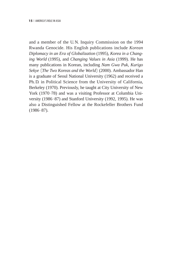and a member of the U. N. Inquiry Commission on the 1994 Rwanda Genocide. His English publications include *Korean Diplomacy in an Era of Globalization* (1995), *Korea in a Changing World* (1995), and *Changing Values in Asia* (1999). He has many publications in Korean, including *Nam Gwa Puk, Kurigo Sekye* 〔*The Two Koreas and the World*〕(2000). Ambassador Han is a graduate of Seoul National University (1962) and received a Ph. D. in Political Science from the University of California, Berkeley (1970). Previously, he taught at City University of New York (1970–78) and was a visiting Professor at Columbia University (1986–87) and Stanford University (1992, 1995). He was also a Distinguished Fellow at the Rockefeller Brothers Fund (1986–87).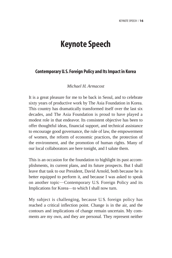## **Keynote Speech**

#### **Contemporary U.S. Foreign Policy and Its Impact in Korea**

#### *Michael H. Armacost*

It is a great pleasure for me to be back in Seoul, and to celebrate sixty years of productive work by The Asia Foundation in Korea. This country has dramatically transformed itself over the last six decades, and The Asia Foundation is proud to have played a modest role in that endeavor. Its consistent objective has been to offer thoughtful ideas, financial support, and technical assistance to encourage good governance, the rule of law, the empowerment of women, the reform of economic practices, the protection of the environment, and the promotion of human rights. Many of our local collaborators are here tonight, and I salute them.

This is an occasion for the foundation to highlight its past accomplishments, its current plans, and its future prospects. But I shall leave that task to our President, David Arnold, both because he is better equipped to perform it, and because I was asked to speak on another topic—Contemporary U.S. Foreign Policy and its Implications for Korea-to which I shall now turn.

My subject is challenging, because U. S. foreign policy has reached a critical inflection point. Change is in the air, and the contours and implications of change remain uncertain. My comments are my own, and they are personal. They represent neither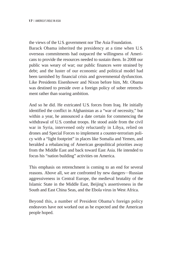the views of the U.S. government nor The Asia Foundation. Barack Obama inherited the presidency at a time when U. S. overseas commitments had outpaced the willingness of Americans to provide the resources needed to sustain them. In 2008 our public was weary of war; our public finances were strained by debt; and the luster of our economic and political model had been tarnished by financial crisis and governmental dysfunction. Like Presidents Eisenhower and Nixon before him, Mr. Obama was destined to preside over a foreign policy of sober retrenchment rather than soaring ambition.

And so he did. He extricated U.S. forces from Iraq. He initially identified the conflict in Afghanistan as a "war of necessity," but within a year, he announced a date certain for commencing the withdrawal of U.S. combat troops. He stood aside from the civil war in Syria, intervened only reluctantly in Libya, relied on drones and Special Forces to implement a counter-terrorism policy with a "light footprint" in places like Somalia and Yemen, and heralded a rebalancing of American geopolitical priorities away from the Middle East and back toward East Asia. He intended to focus his "nation building" activities on America.

This emphasis on retrenchment is coming to an end for several reasons. Above all, we are confronted by new dangers—Russian aggressiveness in Central Europe, the medieval brutality of the Islamic State in the Middle East, Beijing's assertiveness in the South and East China Seas, and the Ebola virus in West Africa.

Beyond this, a number of President Obama's foreign policy endeavors have not worked out as he expected and the American people hoped.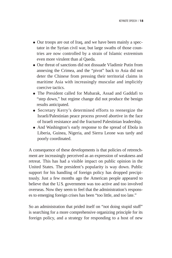- Our troops are out of Iraq, and we have been mainly a spectator in the Syrian civil war, but large swaths of those countries are now controlled by a strain of Islamic extremism even more virulent than al Qaeda.
- Our threat of sanctions did not dissuade Vladimir Putin from annexing the Crimea, and the "pivot" back to Asia did not deter the Chinese from pressing their territorial claims in maritime Asia with increasingly muscular and implicitly coercive tactics.
- The President called for Mubarak, Assad and Gaddafi to "step down," but regime change did not produce the benign results anticipated.
- Secretary Kerry's determined efforts to reenergize the Israeli/Palestinian peace process proved abortive in the face of Israeli resistance and the fractured Palestinian leadership.
- And Washington's early response to the spread of Ebola in Liberia, Guinea, Nigeria, and Sierra Leone was tardy and poorly coordinated.

A consequence of these developments is that policies of retrenchment are increasingly perceived as an expression of weakness and retreat. This has had a visible impact on public opinion in the United States. The president's popularity is way down. Public support for his handling of foreign policy has dropped precipitously. Just a few months ago the American people appeared to believe that the U.S. government was too active and too involved overseas. Now they seem to feel that the administration's responses to emerging foreign crises has been "too little, and too late."

So an administration that prided itself on "not doing stupid stuff" is searching for a more comprehensive organizing principle for its foreign policy, and a strategy for responding to a host of new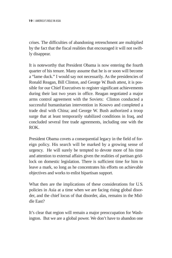crises. The difficulties of abandoning retrenchment are multiplied by the fact that the fiscal realities that encouraged it will not swiftly disappear.

It is noteworthy that President Obama is now entering the fourth quarter of his tenure. Many assume that he is or soon will become a "lame duck." I would say not necessarily. As the presidencies of Ronald Reagan, Bill Clinton, and George W. Bush attest, it is possible for our Chief Executives to register significant achievements during their last two years in office. Reagan negotiated a major arms control agreement with the Soviets; Clinton conducted a successful humanitarian intervention in Kosovo and completed a trade deal with China; and George W. Bush authorized a troop surge that at least temporarily stabilized conditions in Iraq, and concluded several free trade agreements, including one with the ROK.

President Obama covets a consequential legacy in the field of foreign policy. His search will be marked by a growing sense of urgency. He will surely be tempted to devote more of his time and attention to external affairs given the realities of partisan gridlock on domestic legislation. There is sufficient time for him to leave a mark, so long as he concentrates his efforts on achievable objectives and works to enlist bipartisan support.

What then are the implications of these considerations for U.S. policies in Asia at a time when we are facing rising global disorder, and the chief locus of that disorder, alas, remains in the Middle East?

It's clear that region will remain a major preoccupation for Washington. But we are a global power. We don't have to abandon one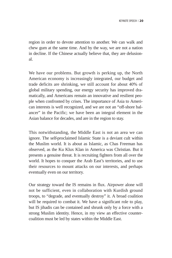region in order to devote attention to another. We can walk and chew gum at the same time. And by the way, we are not a nation in decline. If the Chinese actually believe that, they are delusional.

We have our problems. But growth is perking up, the North American economy is increasingly integrated, our budget and trade deficits are shrinking, we still account for about 40% of global military spending, our energy security has improved dramatically, and Americans remain an innovative and resilient people when confronted by crises. The importance of Asia to American interests is well recognized, and we are not an "off-shore balancer" in the Pacific; we have been an integral element in the Asian balance for decades, and are in the region to stay.

This notwithstanding, the Middle East is not an area we can ignore. The self-proclaimed Islamic State is a deviant cult within the Muslim world. It is about as Islamic, as Chas Freeman has observed, as the Ku Klux Klan in America was Christian. But it presents a genuine threat. It is recruiting fighters from all over the world. It hopes to conquer the Arab East's territories, and to use their resources to mount attacks on our interests, and perhaps eventually even on our territory.

Our strategy toward the IS remains in flux. Airpower alone will not be sufficient, even in collaboration with Kurdish ground troops, to "degrade, and eventually destroy" it. A broad coalition will be required to combat it. We have a significant role to play, but IS jihadis can be contained and shrunk only by a force with a strong Muslim identity. Hence, in my view an effective countercoalition must be led by states within the Middle East.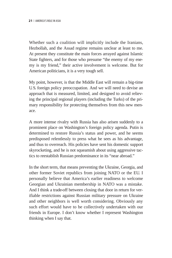Whether such a coalition will implicitly include the Iranians, Hezbollah, and the Assad regime remains unclear at least to me. At present they constitute the main forces arrayed against Islamic State fighters, and for those who presume "the enemy of my enemy is my friend," their active involvement is welcome. But for American politicians, it is a very tough sell.

My point, however, is that the Middle East will remain a big-time U.S. foreign policy preoccupation. And we will need to devise an approach that is measured, limited, and designed to avoid relieving the principal regional players (including the Turks) of the primary responsibility for protecting themselves from this new menace.

A more intense rivalry with Russia has also arisen suddenly to a prominent place on Washington's foreign policy agenda. Putin is determined to restore Russia's status and power, and he seems predisposed relentlessly to press what he sees as his advantage, and thus to overreach. His policies have sent his domestic support skyrocketing, and he is not squeamish about using aggressive tactics to reestablish Russian predominance in its "near abroad."

In the short term, that means preventing the Ukraine, Georgia, and other former Soviet republics from joining NATO or the EU. I personally believe that America's earlier readiness to welcome Georgian and Ukrainian membership in NATO was a mistake. And I think a trade-off between closing that door in return for verifiable restrictions against Russian military pressure on Ukraine and other neighbors is well worth considering. Obviously any such effort would have to be collectively undertaken with our friends in Europe. I don't know whether I represent Washington thinking when I say that.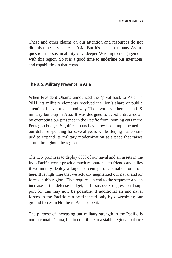These and other claims on our attention and resources do not diminish the U.S. stake in Asia. But it's clear that many Asians question the sustainability of a deeper Washington engagement with this region. So it is a good time to underline our intentions and capabilities in that regard.

#### **The U. S. Military Presence in Asia**

When President Obama announced the "pivot back to Asia" in 2011, its military elements received the lion's share of public attention. I never understood why. The pivot never heralded a U.S. military build-up in Asia. It was designed to avoid a draw-down by exempting our presence in the Pacific from looming cuts in the Pentagon budget. Significant cuts have now been implemented in our defense spending for several years while Beijing has continued to expand its military modernization at a pace that raises alarm throughout the region.

The U.S. promises to deploy 60% of our naval and air assets in the Indo-Pacific won't provide much reassurance to friends and allies if we merely deploy a larger percentage of a smaller force out here. It is high time that we actually augmented our naval and air forces in this region. That requires an end to the sequester and an increase in the defense budget, and I suspect Congressional support for this may now be possible. If additional air and naval forces in the Pacific can be financed only by downsizing our ground forces in Northeast Asia, so be it.

The purpose of increasing our military strength in the Pacific is not to contain China, but to contribute to a stable regional balance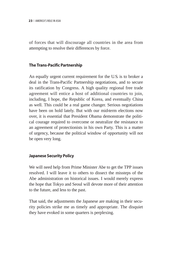of forces that will discourage all countries in the area from attempting to resolve their differences by force.

#### **The Trans-Pacific Partnership**

An equally urgent current requirement for the U.S. is to broker a deal in the Trans-Pacific Partnership negotiations, and to secure its ratification by Congress. A high quality regional free trade agreement will entice a host of additional countries to join, including, I hope, the Republic of Korea, and eventually China as well. This could be a real game changer. Serious negotiations have been on hold lately. But with our mid-term elections now over, it is essential that President Obama demonstrate the political courage required to overcome or neutralize the resistance to an agreement of protectionists in his own Party. This is a matter of urgency, because the political window of opportunity will not be open very long.

#### **Japanese Security Policy**

We will need help from Prime Minister Abe to get the TPP issues resolved. I will leave it to others to dissect the missteps of the Abe administration on historical issues. I would merely express the hope that Tokyo and Seoul will devote more of their attention to the future, and less to the past.

That said, the adjustments the Japanese are making in their security policies strike me as timely and appropriate. The disquiet they have evoked in some quarters is perplexing.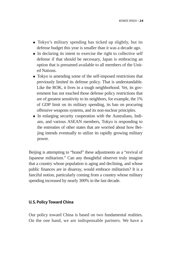- Tokyo's military spending has ticked up slightly, but its defense budget this year is smaller than it was a decade ago.
- In declaring its intent to exercise the right to collective self defense if that should be necessary, Japan is embracing an option that is presumed available to all members of the United Nations.
- Tokyo is amending some of the self-imposed restrictions that previously limited its defense policy. That is understandable. Like the ROK, it lives in a tough neighborhood. Yet, its government has not touched those defense policy restrictions that are of greatest sensitivity to its neighbors, for example, the 1% of GDP limit on its military spending, its ban on procuring offensive weapons systems, and its non-nuclear principles.
- In enlarging security cooperation with the Australians, Indians, and various ASEAN members, Tokyo is responding to the entreaties of other states that are worried about how Beijing intends eventually to utilize its rapidly growing military power.

Beijing is attempting to "brand" these adjustments as a "revival of Japanese militarism." Can any thoughtful observer truly imagine that a country whose population is aging and declining, and whose public finances are in disarray, would embrace militarism? It is a fanciful notion, particularly coming from a country whose military spending increased by nearly 300% in the last decade.

#### **U. S. Policy Toward China**

Our policy toward China is based on two fundamental realities. On the one hand, we are indispensable partners. We have a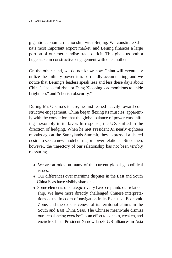gigantic economic relationship with Beijing. We constitute China's most important export market, and Beijing finances a large portion of our merchandise trade deficit. This gives us both a huge stake in constructive engagement with one another.

On the other hand, we do not know how China will eventually utilize the military power it is so rapidly accumulating, and we notice that Beijing's leaders speak less and less these days about China's "peaceful rise" or Deng Xiaoping's admonitions to "hide brightness" and "cherish obscurity."

During Mr. Obama's tenure, he first leaned heavily toward constructive engagement. China began flexing its muscles, apparently with the conviction that the global balance of power was shifting inexorably in its favor. In response, the U.S. shifted in the direction of hedging. When he met President Xi nearly eighteen months ago at the Sunnylands Summit, they expressed a shared desire to seek a new model of major power relations. Since then, however, the trajectory of our relationship has not been terribly reassuring.

- We are at odds on many of the current global geopolitical issues.
- Our differences over maritime disputes in the East and South China Seas have visibly sharpened.
- Some elements of strategic rivalry have crept into our relationship. We have more directly challenged Chinese interpretations of the freedom of navigation in its Exclusive Economic Zone, and the expansiveness of its territorial claims in the South and East China Seas. The Chinese meanwhile dismiss our "rebalancing exercise" as an effort to contain, weaken, and encircle China. President Xi now labels U.S. alliances in Asia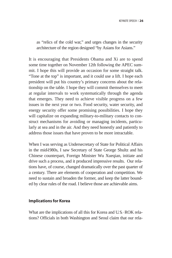as "relics of the cold war," and urges changes in the security architecture of the region designed "by Asians for Asians."

It is encouraging that Presidents Obama and Xi are to spend some time together on November 12th following the APEC summit. I hope this will provide an occasion for some straight talk. "Tone at the top" is important, and it could use a lift. I hope each president will put his country's primary concerns about the relationship on the table. I hope they will commit themselves to meet at regular intervals to work systematically through the agenda that emerges. They need to achieve visible progress on a few issues in the next year or two. Food security, water security, and energy security offer some promising possibilities. I hope they will capitalize on expanding military-to-military contacts to construct mechanisms for avoiding or managing incidents, particularly at sea and in the air. And they need honestly and patiently to address those issues that have proven to be more intractable.

When I was serving as Undersecretary of State for Political Affairs in the mid-1980s, I saw Secretary of State George Shultz and his Chinese counterpart, Foreign Minister Wu Xueqian, initiate and drive such a process, and it produced impressive results. Our relations have, of course, changed dramatically over the past quarter of a century. There are elements of cooperation and competition. We need to sustain and broaden the former, and keep the latter bounded by clear rules of the road. I believe those are achievable aims.

#### **Implications for Korea**

What are the implications of all this for Korea and U.S.–ROK relations? Officials in both Washington and Seoul claim that our rela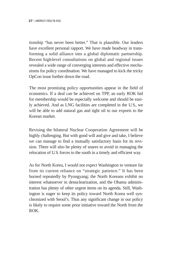tionship "has never been better." That is plausible. Our leaders have excellent personal rapport. We have made headway in transforming a solid alliance into a global diplomatic partnership. Recent high-level consultations on global and regional issues revealed a wide range of converging interests and effective mechanisms for policy coordination. We have managed to kick the tricky OpCon issue further down the road.

The most promising policy opportunities appear in the field of economics. If a deal can be achieved on TPP, an early ROK bid for membership would be especially welcome and should be easily achieved. And as LNG facilities are completed in the U.S., we will be able to add natural gas and tight oil to our exports to the Korean market.

Revising the bilateral Nuclear Cooperation Agreement will be highly challenging. But with good will and give and take, I believe we can manage to find a mutually satisfactory basis for its revision. There will also be plenty of snares to avoid in managing the relocation of U.S. forces to the south in a timely and efficient way.

As for North Korea, I would not expect Washington to venture far from its current reliance on "strategic patience." It has been burned repeatedly by Pyongyang; the North Koreans exhibit no interest whatsoever in denuclearization, and the Obama administration has plenty of other urgent items on its agenda. Still, Washington is eager to keep its policy toward North Korea well synchronized with Seoul's. Thus any significant change in our policy is likely to require some prior initiative toward the North from the ROK.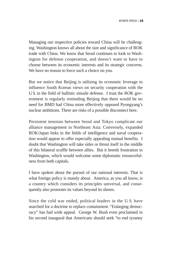Managing our respective policies toward China will be challenging. Washington knows all about the size and significance of ROK trade with China. We know that Seoul continues to look to Washington for defense cooperation, and doesn't want to have to choose between its economic interests and its strategic concerns. We have no reason to force such a choice on you.

But we notice that Beijing is utilizing its economic leverage to influence South Korean views on security cooperation with the U.S. in the field of ballistic missile defense. I trust the ROK government is regularly reminding Beijing that there would be no need for BMD had China more effectively opposed Pyongyang's nuclear ambitions. There are risks of a possible disconnect here.

Persistent tensions between Seoul and Tokyo complicate our alliance management in Northeast Asia. Conversely, expanded ROK/Japan links in the fields of intelligence and naval cooperation would appear to offer especially appealing mutual benefits. I doubt that Washington will take sides or thrust itself in the middle of this bilateral scuffle between allies. But it breeds frustration in Washington, which would welcome some diplomatic resourcefulness from both capitals.

I have spoken about the pursuit of our national interests. That is what foreign policy is mainly about. America, as you all know, is a country which considers its principles universal, and consequently also promotes its values beyond its shores.

Since the cold war ended, political leaders in the U. S. have searched for a doctrine to replace containment. "Enlarging democracy" has had wide appeal. George W. Bush even proclaimed in his second inaugural that Americans should seek "to end tyranny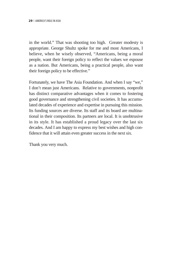in the world." That was shooting too high. Greater modesty is appropriate. George Shultz spoke for me and most Americans, I believe, when he wisely observed, "Americans, being a moral people, want their foreign policy to reflect the values we espouse as a nation. But Americans, being a practical people, also want their foreign policy to be effective."

Fortunately, we have The Asia Foundation. And when I say "we," I don't mean just Americans. Relative to governments, nonprofit has distinct comparative advantages when it comes to fostering good governance and strengthening civil societies. It has accumulated decades of experience and expertise in pursuing this mission. Its funding sources are diverse. Its staff and its board are multinational in their composition. Its partners are local. It is unobtrusive in its style. It has established a proud legacy over the last six decades. And I am happy to express my best wishes and high confidence that it will attain even greater success in the next six.

Thank you very much.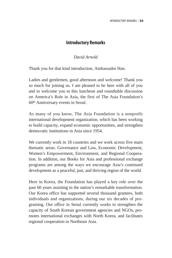#### **Introductory Remarks**

#### *David Arnold*

Thank you for that kind introduction, Ambassador Han.

Ladies and gentlemen, good afternoon and welcome! Thank you so much for joining us. I am pleased to be here with all of you and to welcome you to this luncheon and roundtable discussion on America's Role in Asia, the first of The Asia Foundation's 60th Anniversary events in Seoul.

As many of you know, The Asia Foundation is a nonprofit international development organization, which has been working to build capacity, expand economic opportunities, and strengthen democratic institutions in Asia since 1954.

We currently work in 18 countries and we work across five main thematic areas: Governance and Law, Economic Development, Women's Empowerment, Environment, and Regional Cooperation. In addition, our Books for Asia and professional exchange programs are among the ways we encourage Asia's continued development as a peaceful, just, and thriving region of the world.

Here in Korea, the Foundation has played a key role over the past 60 years assisting in the nation's remarkable transformation. Our Korea office has supported several thousand grantees, both individuals and organizations, during our six decades of programing. Our office in Seoul currently works to strengthen the capacity of South Korean government agencies and NGOs, promotes international exchanges with North Korea, and facilitates regional cooperation in Northeast Asia.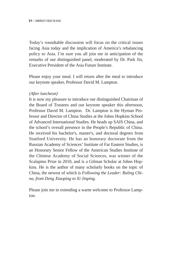Today's roundtable discussion will focus on the critical issues facing Asia today and the implication of America's rebalancing policy to Asia. I'm sure you all join me in anticipation of the remarks of our distinguished panel, moderated by Dr. Park Jin, Executive President of the Asia Future Institute.

Please enjoy your meal. I will return after the meal to introduce our keynote speaker, Professor David M. Lampton.

#### *(After luncheon)*

It is now my pleasure to introduce our distinguished Chairman of the Board of Trustees and our keynote speaker this afternoon, Professor David M. Lampton. Dr. Lampton is the Hyman Professor and Director of China Studies at the Johns Hopkins School of Advanced International Studies. He heads up SAIS China, and the school's overall presence in the People's Republic of China. He received his bachelor's, master's, and doctoral degrees from Stanford University. He has an honorary doctorate from the Russian Academy of Sciences' Institute of Far Eastern Studies, is an Honorary Senior Fellow of the American Studies Institute of the Chinese Academy of Social Sciences, was winner of the Scalapino Prize in 2010, and is a Gilman Scholar at Johns Hopkins. He is the author of many scholarly books on the topic of China, the newest of which is *Following the Leader: Ruling China, from Deng Xiaoping to Xi Jinping.*

Please join me in extending a warm welcome to Professor Lampton.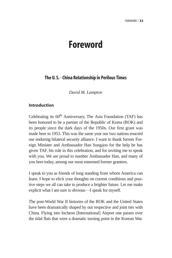## **Foreword**

#### **The U. S. China Relationship in Perilous Times**

*David M. Lampton*

#### **Introduction**

Celebrating its 60<sup>th</sup> Anniversary, The Asia Foundation (TAF) has been honored to be a partner of the Republic of Korea (ROK) and its people since the dark days of the 1950s. Our first grant was made here in 1953. This was the same year our two nations enacted our enduring bilateral security alliance. I want to thank former Foreign Minister and Ambassador Han Sung-joo for the help he has given TAF, his role in this celebration, and for inviting me to speak with you. We are proud to number Ambassador Han, and many of you here today, among our most esteemed former grantees.

I speak to you as friends of long standing from whom America can learn. I hope to elicit your thoughts on current conditions and positive steps we all can take to produce a brighter future. Let me make explicit what I am sure is obvious—I speak for myself.

The post-World War II histories of the ROK and the United States have been dramatically shaped by our respective and joint ties with China. Flying into Incheon [International] Airport one passes over the tidal flats that were a dramatic turning point in the Korean War.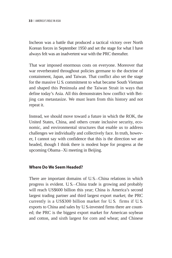Incheon was a battle that produced a tactical victory over North Korean forces in September 1950 and set the stage for what I have always felt was an inadvertent war with the PRC thereafter.

That war imposed enormous costs on everyone. Moreover that war reverberated throughout policies germane to the doctrine of containment, Japan, and Taiwan. That conflict also set the stage for the massive U.S. commitment to what became South Vietnam and shaped this Peninsula and the Taiwan Strait in ways that define today's Asia. All this demonstrates how conflict with Beijing can metastasize. We must learn from this history and not repeat it.

Instead, we should move toward a future in which the ROK, the United States, China, and others create inclusive security, economic, and environmental structures that enable us to address challenges we individually and collectively face. In truth, however, I cannot say with confidence that this is the direction we are headed, though I think there is modest hope for progress at the upcoming Obama─Xi meeting in Beijing.

#### **Where Do We Seem Headed?**

There are important domains of U.S.—China relations in which progress is evident. U.S.—China trade is growing and probably will reach US\$600 billion this year; China is America's second largest trading partner and third largest export market; the PRC currently is a US\$300 billion market for U. S. firms if U. S. exports to China and sales by U. S.-invested firms there are counted; the PRC is the biggest export market for American soybean and cotton, and sixth largest for corn and wheat; and Chinese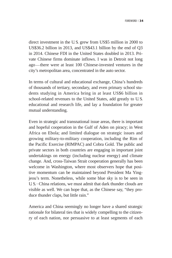direct investment in the U. S. grew from US\$5 million in 2000 to US\$36.2 billion in 2013, and US\$43.1 billion by the end of Q3 in 2014. Chinese FDI in the United States doubled in 2013. Private Chinese firms dominate inflows. I was in Detroit not long ago—there were at least 100 Chinese-invested ventures in the city's metropolitan area, concentrated in the auto sector.

In terms of cultural and educational exchange, China's hundreds of thousands of tertiary, secondary, and even primary school students studying in America bring in at least US\$6 billion in school-related revenues to the United States, add greatly to U. S. educational and research life, and lay a foundation for greater mutual understanding.

Even in strategic and transnational issue areas, there is important and hopeful cooperation in the Gulf of Aden on piracy; in West Africa on Ebola; and limited dialogue on strategic issues and growing military-to-military cooperation, including the Rim of the Pacific Exercise (RIMPAC) and Cobra Gold. The public and private sectors in both countries are engaging in important joint undertakings on energy (including nuclear energy) and climate change. And, cross-Taiwan Strait cooperation generally has been welcome in Washington, where most observers hope that positive momentum can be maintained beyond President Ma Yingjeou's term. Nonetheless, while some blue sky is to be seen in U. S.–China relations, we must admit that dark thunder clouds are visible as well. We can hope that, as the Chinese say, "they produce thunder claps, but little rain."

America and China seemingly no longer have a shared strategic rationale for bilateral ties that is widely compelling to the citizenry of each nation, nor persuasive to at least segments of each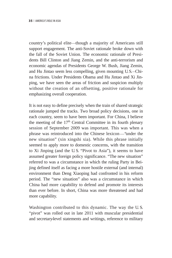country's political elite—though a majority of Americans still support engagement. The anti-Soviet rationale broke down with the fall of the Soviet Union. The economic rationale of Presidents Bill Clinton and Jiang Zemin, and the anti-terrorism and economic agendas of Presidents George W. Bush, Jiang Zemin, and Hu Jintao seem less compelling, given mounting U.S.─China frictions. Under Presidents Obama and Hu Jintao and Xi Jinping, we have seen the areas of friction and suspicion multiply without the creation of an offsetting, positive rationale for emphasizing overall cooperation.

It is not easy to define precisely when the train of shared strategic rationale jumped the tracks. Two broad policy decisions, one in each country, seem to have been important. For China, I believe the meeting of the  $17<sup>th</sup>$  Central Committee in its fourth plenary session of September 2009 was important. This was when a phrase was reintroduced into the Chinese lexicon─"under the new situation" (xin xingshi xia). While this phrase initially seemed to apply more to domestic concerns, with the transition to Xi Jinping (and the U.S. "Pivot to Asia"), it seems to have assumed greater foreign policy significance. "The new situation" referred to was a circumstance in which the ruling Party in Beijing defined itself as facing a more hostile external (and internal) environment than Deng Xiaoping had confronted in his reform period. The "new situation" also was a circumstance in which China had more capability to defend and promote its interests than ever before. In short, China was more threatened and had more capability.

Washington contributed to this dynamic. The way the U. S. "pivot" was rolled out in late 2011 with muscular presidential and secretary-level statements and writings, reference to military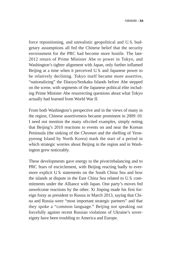force repositioning, and unrealistic geopolitical and U. S. budgetary assumptions all fed the Chinese belief that the security environment for the PRC had become more hostile. The late-2012 return of Prime Minister Abe to power in Tokyo, and Washington's tighter alignment with Japan, only further inflamed Beijing at a time when it perceived U.S. and Japanese power to be relatively declining. Tokyo itself became more assertive, "nationalizing" the Diaoyu/Senkaku Islands before Abe stepped on the scene, with segments of the Japanese political elite including Prime Minister Abe resurrecting questions about what Tokyo actually had learned from World War II.

From both Washington's perspective and in the views of many in the region, Chinese assertiveness became prominent in 2009–10: I need not mention the many oft-cited examples, simply noting that Beijing's 2010 reactions to events on and near the Korean Peninsula (the sinking of the *Cheonan* and the shelling of Yeonpyeong Island by North Korea) mark the start of a period in which strategic worries about Beijing in the region and in Washington grew noticeably.

These developments gave energy to the pivot/rebalancing and to PRC fears of encirclement, with Beijing reacting badly to evermore explicit U.S. statements on the South China Sea and how the islands at dispute in the East China Sea related to U. S. commitments under the Alliance with Japan. One party's moves fed unwelcome reactions by the other. Xi Jinping made his first foreign foray as president to Russia in March 2013, saying that China and Russia were "most important strategic partners" and that they spoke a "common language." Beijing not speaking out forcefully against recent Russian violations of Ukraine's sovereignty have been troubling to America and Europe.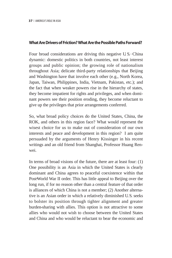#### **What Are Drivers of Friction? What Are the Possible Paths Forward?**

Four broad considerations are driving this negative U.S.–China dynamic: domestic politics in both countries, not least interest groups and public opinion; the growing role of nationalism throughout Asia; delicate third-party relationships that Beijing and Washington have that involve each other (e.g., North Korea, Japan, Taiwan, Philippines, India, Vietnam, Pakistan, etc.); and the fact that when weaker powers rise in the hierarchy of states, they become impatient for rights and privileges, and when dominant powers see their position eroding, they become reluctant to give up the privileges that prior arrangements conferred.

So, what broad policy choices do the United States, China, the ROK, and others in this region face? What would represent the wisest choice for us to make out of consideration of our own interests and peace and development in this region? I am quite persuaded by the arguments of Henry Kissinger in his recent writings and an old friend from Shanghai, Professor Huang Renwei.

In terms of broad visions of the future, there are at least four: (1) One possibility is an Asia in which the United States is clearly dominant and China agrees to peaceful coexistence within that Post-World War II order. This has little appeal to Beijing over the long run, if for no reason other than a central feature of that order is alliances of which China is not a member; (2) Another alternative is an Asian order in which a relatively diminished U.S. seeks to bolster its position through tighter alignment and greater burden-sharing with allies. This option is not attractive to some allies who would not wish to choose between the United States and China and who would be reluctant to bear the economic and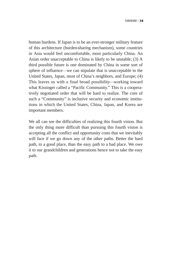human burdens. If Japan is to be an ever-stronger military feature of this architecture (burden-sharing mechanism), some countries in Asia would feel uncomfortable, most particularly China. An Asian order unacceptable to China is likely to be unstable; (3) A third possible future is one dominated by China in some sort of sphere of influence—we can stipulate that is unacceptable to the United States, Japan, most of China's neighbors, and Europe; (4) This leaves us with a final broad possibility—working toward what Kissinger called a "Pacific Community." This is a cooperatively negotiated order that will be hard to realize. The core of such a "Community" is inclusive security and economic institutions in which the United States, China, Japan, and Korea are important members.

We all can see the difficulties of realizing this fourth vision. But the only thing more difficult than pursuing this fourth vision is accepting all the conflict and opportunity costs that we inevitably will face if we go down any of the other paths. Better the hard path, to a good place, than the easy path to a bad place. We owe it to our grandchildren and generations hence not to take the easy path.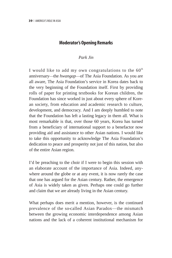# **Moderator's Opening Remarks**

### *Park Jin*

I would like to add my own congratulations to the  $60<sup>th</sup>$ anniversary─the *hwangap*─of The Asia Foundation. As you are all aware, The Asia Foundation's service in Korea dates back to the very beginning of the Foundation itself. First by providing rolls of paper for printing textbooks for Korean children, the Foundation has since worked in just about every sphere of Korean society, from education and academic research to culture, development, and democracy. And I am deeply humbled to note that the Foundation has left a lasting legacy in them all. What is most remarkable is that, over those 60 years, Korea has turned from a beneficiary of international support to a benefactor now providing aid and assistance to other Asian nations. I would like to take this opportunity to acknowledge The Asia Foundation's dedication to peace and prosperity not just of this nation, but also of the entire Asian region.

I'd be preaching to the choir if I were to begin this session with an elaborate account of the importance of Asia. Indeed, anywhere around the globe or at any event, it is now rarely the case that one has argued for the Asian century. Rather, the emergence of Asia is widely taken as given. Perhaps one could go further and claim that we are already living in the Asian century.

What perhaps does merit a mention, however, is the continued prevalence of the so-called Asian Paradox—the mismatch between the growing economic interdependence among Asian nations and the lack of a coherent institutional mechanism for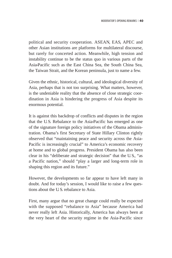political and security cooperation. ASEAN, EAS, APEC and other Asian institutions are platforms for multilateral discourse, but rarely for concerted action. Meanwhile, high tension and instability continue to be the status quo in various parts of the Asia-Pacific such as the East China Sea, the South China Sea, the Taiwan Strait, and the Korean peninsula, just to name a few.

Given the ethnic, historical, cultural, and ideological diversity of Asia, perhaps that is not too surprising. What matters, however, is the undeniable reality that the absence of close strategic coordination in Asia is hindering the progress of Asia despite its enormous potential.

It is against this backdrop of conflicts and disputes in the region that the U.S. Rebalance to the Asia-Pacific has emerged as one of the signature foreign policy initiatives of the Obama administration. Obama's first Secretary of State Hillary Clinton rightly observed that "maintaining peace and security across the Asia-Pacific is increasingly crucial" to America's economic recovery at home and to global progress. President Obama has also been clear in his "deliberate and strategic decision" that the U. S., "as a Pacific nation," should "play a larger and long-term role in shaping this region and its future."

However, the developments so far appear to have left many in doubt. And for today's session, I would like to raise a few questions about the U. S. rebalance to Asia.

First, many argue that no great change could really be expected with the supposed "rebalance to Asia" because America had never really left Asia. Historically, America has always been at the very heart of the security regime in the Asia-Pacific since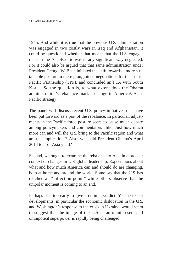1945. And while it is true that the previous U. S. administration was engaged in two costly wars in Iraq and Afghanistan, it could be questioned whether that meant that the U. S. engagement in the Asia-Pacific was in any significant way neglected. For it could also be argued that that same administration under President George W. Bush initiated the shift towards a more sustainable posture in the region, joined negotiations for the Trans-Pacific Partnership (TPP), and concluded an FTA with South Korea. So the question is, to what extent does the Obama administration's rebalance mark a change in America's Asia-Pacific strategy?

The panel will discuss recent U.S. policy initiatives that have been put forward as a part of the rebalance. In particular, adjustments in the Pacific force posture seem to cause much debate among policymakers and commentators alike. Just how much more can and will the U.S. bring to the Pacific region and what are the implications? Also, what did President Obama's April 2014 tour of Asia yield?

Second, we ought to examine the rebalance to Asia in a broader context of changes in U. S. global leadership. Expectations about what and how much America can and should do are changing, both at home and around the world. Some say that the U.S. has reached an "inflection point," while others observe that the unipolar moment is coming to an end.

Perhaps it is too early to give a definite verdict. Yet the recent developments, in particular the economic dislocation in the U. S. and Washington's response to the crisis in Ukraine, would seem to suggest that the image of the U. S. as an omnipresent and omnipotent superpower is rapidly being challenged.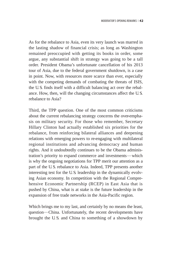As for the rebalance to Asia, even its very launch was marred in the lasting shadow of financial crisis; as long as Washington remained preoccupied with getting its books in order, some argue, any substantial shift in strategy was going to be a tall order. President Obama's unfortunate cancellation of his 2013 tour of Asia, due to the federal government shutdown, is a case in point. Now, with resources more scarce than ever, especially with the competing demands of combating the threats of ISIS, the U. S. finds itself with a difficult balancing act over the rebalance. How, then, will the changing circumstances affect the U. S. rebalance to Asia?

Third, the TPP question. One of the most common criticisms about the current rebalancing strategy concerns the over-emphasis on military security. For those who remember, Secretary Hillary Clinton had actually established six priorities for the rebalance, from reinforcing bilateral alliances and deepening relations with emerging powers to re-engaging with multilateral regional institutions and advancing democracy and human rights. And it undoubtedly continues to be the Obama administration's priority to expand commerce and investments-which is why the ongoing negotiations for TPP merit our attention as a part of the U. S. rebalance to Asia. Indeed, TPP presents another interesting test for the U. S. leadership in the dynamically evolving Asian economy. In competition with the Regional Comprehensive Economic Partnership (RCEP) in East Asia that is pushed by China, what is at stake is the future leadership in the expansion of free trade networks in the Asia-Pacific region.

Which brings me to my last, and certainly by no means the least, question—China. Unfortunately, the recent developments have brought the U. S. and China to something of a showdown by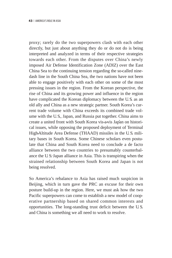proxy; rarely do the two superpowers clash with each other directly, but just about anything they do or do not do is being interpreted and analyzed in terms of their respective strategies towards each other. From the disputes over China's newly imposed Air Defense Identification Zone (ADIZ) over the East China Sea to the continuing tension regarding the so-called ninedash line in the South China Sea, the two nations have not been able to engage positively with each other on some of the most pressing issues in the region. From the Korean perspective, the rise of China and its growing power and influence in the region have complicated the Korean diplomacy between the U. S. as an old ally and China as a new strategic partner. South Korea's current trade volume with China exceeds its combined trade volume with the U. S., Japan, and Russia put together. China aims to create a united front with South Korea vis-a-vis Japan on historical issues, while opposing the proposed deployment of Terminal High-Altitude Area Defense (THAAD) missiles in the U. S. military bases in South Korea. Some Chinese scholars even postulate that China and South Korea need to conclude a de facto alliance between the two countries to presumably counterbalance the U.S-Japan alliance in Asia. This is transpiring when the strained relationship between South Korea and Japan is not being resolved.

So America's rebalance to Asia has raised much suspicion in Beijing, which in turn gave the PRC an excuse for their own posture build-up in the region. Here, we must ask how the two Pacific superpowers can come to establish a new model of cooperative partnership based on shared common interests and opportunities. The long-standing trust deficit between the U. S. and China is something we all need to work to resolve.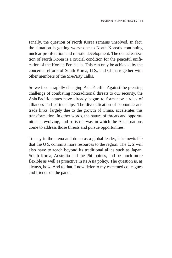Finally, the question of North Korea remains unsolved. In fact, the situation is getting worse due to North Korea's continuing nuclear proliferation and missile development. The denuclearization of North Korea is a crucial condition for the peaceful unification of the Korean Peninsula. This can only be achieved by the concerted efforts of South Korea, U. S., and China together with other members of the Six-Party Talks.

So we face a rapidly changing Asia-Pacific. Against the pressing challenge of combating nontraditional threats to our security, the Asia-Pacific states have already begun to form new circles of alliances and partnerships. The diversification of economic and trade links, largely due to the growth of China, accelerates this transformation. In other words, the nature of threats and opportunities is evolving, and so is the way in which the Asian nations come to address those threats and pursue opportunities.

To stay in the arena and do so as a global leader, it is inevitable that the U. S. commits more resources to the region. The U. S. will also have to reach beyond its traditional allies such as Japan, South Korea, Australia and the Philippines, and be much more flexible as well as proactive in its Asia policy. The question is, as always, how. And to that, I now defer to my esteemed colleagues and friends on the panel.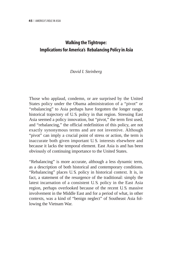# **Walking the Tightrope: Implications for America's Rebalancing Policy in Asia**

#### *David I. Steinberg*

Those who applaud, condemn, or are surprised by the United States policy under the Obama administration of a "pivot" or "rebalancing" to Asia perhaps have forgotten the longer range, historical trajectory of U. S. policy in that region. Stressing East Asia seemed a policy innovation, but "pivot," the term first used, and "rebalancing," the official redefinition of this policy, are not exactly synonymous terms and are not inventive. Although "pivot" can imply a crucial point of stress or action, the term is inaccurate both given important U. S. interests elsewhere and because it lacks the temporal element. East Asia is and has been obviously of continuing importance to the United States.

"Rebalancing" is more accurate, although a less dynamic term, as a description of both historical and contemporary conditions. "Rebalancing" places U. S. policy in historical context. It is, in fact, a statement of the resurgence of the traditional: simply the latest incarnation of a consistent U. S. policy in the East Asia region, perhaps overlooked because of the recent U. S. massive involvement in the Middle East and for a period of what, in other contexts, was a kind of "benign neglect" of Southeast Asia following the Vietnam War.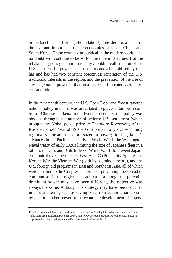Some (such as the Heritage Foundation<sup>1</sup>) consider it is a result of the size and importance of the economies of Japan, China, and South Korea. These certainly are critical in the modern world, and no doubt will continue to be so for the indefinite future. But the rebalancing policy is more basically a public reaffirmation of the U. S. as a Pacific power. It is a century-and-a-half-old policy that has and has had two constant objectives: reiteration of the U. S. traditional interests in the region, and the prevention of the rise of any hegemonic power in that area that could threaten U.S. interests and role.

In the nineteenth century, the U. S. Open Door and "most favored nation" policy in China was articulated to prevent European control of Chinese markets. In the twentieth century, this policy was obvious throughout a number of actions: U. S. settlement (which brought the Nobel peace prize to Theodore Roosevelt) of the Russo-Japanese War of 1904-05 to prevent any overwhelming regional victor and therefore suzerain power; limiting Japan's advances in the Pacific as an ally in World War I; the Washington Naval treaty of early 1920s limiting the size of Japanese fleet in a ratio to the U.S. and British fleets; World War II to prevent Japanese control over the Greater East Asia Co-Prosperity Sphere; the Korean War, the Vietnam War (with its "domino" theory), and the U.S. foreign aid programs in East and Southeast Asia, all of which were justified to the Congress in terms of preventing the spread of communism in the region. In each case, although the potential dominant power may have been different, the objective was always the same. Although the strategy may have been couched in altruistic terms, such as saving Asia from authoritarian control by one or another power or the economic development of impov-

<sup>1)</sup>Walter Lohman, Olivia Enos, and John Fleming, "2014 Asia Update: What's at Stake for America," The Heritage Foundation (October 2014), http://www.heritage.org/research/reports/2014/10/asiaupdate-whats-at-stake-for-america-2014 (accessed in October 2014).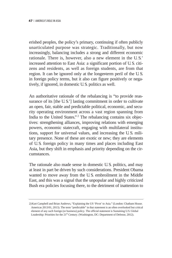erished peoples, the policy's primary, continuing if often publicly unarticulated purpose was strategic. Traditionally, but now increasingly, balancing includes a strong and different economic rationale. There is, however, also a new element in the U. S.' increased attention to East Asia: a significant portion of U. S. citizens and residents, as well as foreign students, are from that region. It can be ignored only at the longer-term peril of the U. S. in foreign policy terms, but it also can figure positively or negatively, if ignored, in domestic U. S. politics as well.

An authoritative rationale of the rebalancing is "to provide reassurance of its [the U.S.'] lasting commitment in order to cultivate an open, fair, stable and predictable political, economic, and security operating environment across a vast region spanning from India to the United States."<sup>2</sup> The rebalancing contains six objectives: strengthening alliances, improving relations with emerging powers, economic statecraft, engaging with multilateral institutions, support for universal values, and increasing the U. S. military presence. None of these are exotic or new; they are elements of U. S. foreign policy in many times and places including East Asia, but they shift in emphasis and priority depending on the circumstances.

The rationale also made sense in domestic U. S. politics, and may at least in part be driven by such considerations. President Obama wanted to move away from the U. S. embroilment in the Middle East, and this was a signal that the unpopular and highly criticized Bush era policies focusing there, to the detriment of inattention to

<sup>2)</sup>Kurt Campbell and Brian Andrews, "Explaining the US 'Pivot' to Asia." (London: Chatham House. Americas 2013/01, 2013). The term "predictable" in that statement is an often overlooked but critical element of any such foreign (or business) policy. The official statement is Sustaining U.S. Global Leadership: Priorities for the 21<sup>st</sup> Century. (Washington, DC: Department of Defense, 2012).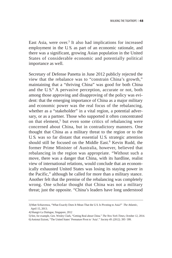East Asia, were over.<sup>3</sup> It also had implications for increased employment in the U.S. as part of an economic rationale, and there was a significant, growing Asian population in the United States of considerable economic and potentially political importance as well.

Secretary of Defense Panetta in June 2012 publicly rejected the view that the rebalance was to "constrain China's growth," maintaining that a "thriving China" was good for both China and the U.S.<sup>4</sup> A pervasive perception, accurate or not, both among those approving and disapproving of the policy was evident: that the emerging importance of China as a major military and economic power was the real focus of the rebalancing, whether as a "stakeholder" in a vital region, a potential adversary, or as a partner. Those who supported it often concentrated on that element,<sup>5</sup> but even some critics of rebalancing were concerned about China, but in contradictory manners. One thought that China as a military threat to the region or to the U. S. was so far distant that essential U. S. strategic attention should still be focused on the Middle East.<sup>6</sup> Kevin Rudd, the former Prime Minister of Australia, however, believed that rebalancing in the region was appropriate. "Without such a move, there was a danger that China, with its hardline, realist view of international relations, would conclude that an economically exhausted United States was losing its staying power in the Pacific," although he called for more than a military stance. Another felt that the premise of the rebalancing was completely wrong. One scholar thought that China was not a military threat; just the opposite. "China's leaders have long understood

<sup>3)</sup>Matt Schiavenza, "What Exactly Does It Mean That the U.S. Is Pivoting to Asia?" *The Atlantic*, April 15, 2013.

<sup>4)</sup>Shangri-La Dialogue, Singapore, 2012

<sup>5)</sup>See, for example, Gen. Wesley Clark, "Getting Real about China." *The New York Times*, October 12, 2014.

<sup>6)</sup>Amiotai Etzioni, "The United States' Premature Pivot to 'Asia'." *Society 49*. (2012). 395–399.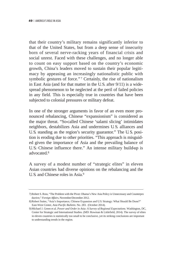that their country's military remains significantly inferior to that of the United States, but from a deep sense of insecurity born of several nerve-racking years of financial crisis and social unrest. Faced with these challenges, and no longer able to count on easy support based on the country's economic growth, China's leaders moved to sustain their popular legitimacy by appeasing an increasingly nationalistic public with symbolic gestures of force."<sup>7</sup> Certainly, the rise of nationalism in East Asia (and for that matter in the U.S. after 9/11) is a widespread phenomenon to be neglected at the peril of failed policies in any field. This is especially true in countries that have been subjected to colonial pressures or military defeat.

In one of the stronger arguments in favor of an even more pronounced rebalancing, Chinese "expansionism" is considered as the major threat. "So-called Chinese 'salami slicing' intimidates neighbors, destabilizes Asia and undermines U. S. alliances and U. S. standing as the region's security guarantor." The U. S. position is eroding due to other priorities. "This approach is misguided given the importance of Asia and the prevailing balance of U. S.–Chinese influence there." An intense military build-up is advocated<sup>8</sup>

A survey of a modest number of "strategic elites" in eleven Asian countries had diverse opinions on the rebalancing and the U.S. and Chinese roles in Asia.9

<sup>7)</sup>Robert S. Ross, "The Problem with the Pivot: Obama's New Asia Policy is Unnecessary and Counterpro ductive," *Foreign Affairs*, November/December 2012.

<sup>8)</sup>Robert Sutter, "Asia's Importance, Chinese Expansion and U.S. Strategy: What Should Be Done?" East-West Center, *Asia Pacific Bulletin*. No. 283. (October 2014).

<sup>9)</sup>Michael J. Green et al. *Power and Order in Asia: A Survey of Regional Expectations*. Washington, DC, Center for Strategic and International Studies. (MD: Rowman & Littlefield, 2014). The survey of elites in eleven countries is statistically too small to be conclusive, yet its striking conclusions are important to understanding trends in the region.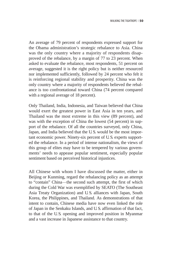An average of 79 percent of respondents expressed support for the Obama administration's strategic rebalance to Asia. China was the only country where a majority of respondents disapproved of the rebalance, by a margin of 77 to 23 percent. When asked to evaluate the rebalance, most respondents, 51 percent on average, suggested it is the right policy but is neither resourced nor implemented sufficiently, followed by 24 percent who felt it is reinforcing regional stability and prosperity. China was the only country where a majority of respondents believed the rebalance is too confrontational toward China (74 percent compared with a regional average of 18 percent).

Only Thailand, India, Indonesia, and Taiwan believed that China would exert the greatest power in East Asia in ten years, and Thailand was the most extreme in this view (89 percent), and was with the exception of China the lowest (54 percent) in support of the rebalance. Of all the countries surveyed, only China, Japan, and India believed that the U. S. would be the most important economic power. Ninety-six percent of U. S. experts supported the rebalance. In a period of intense nationalism, the views of this group of elites may have to be tempered by various governments' needs to appease popular sentiment, especially popular sentiment based on perceived historical injustices.

All Chinese with whom I have discussed the matter, either in Beijing or Kunming, regard the rebalancing policy as an attempt to "contain" China-the second such attempt, the first of which during the Cold War was exemplified by SEATO (The Southeast Asia Treaty Organization) and U. S. alliances with Japan, South Korea, the Philippines, and Thailand. As demonstrations of that intent to contain, Chinese media have now even linked the role of Japan in the Senkaku Islands, and U. S. affirmation of that fact, to that of the U. S. opening and improved position in Myanmar and a vast increase in Japanese assistance to that country.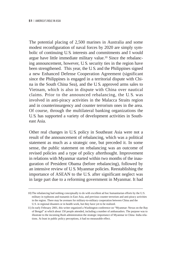The potential placing of 2,500 marines in Australia and some modest reconfiguration of naval forces by 2020 are simply symbolic of continuing U. S. interests and commitments and I would argue have little immediate military value.10 Since the rebalancing announcement, however, U. S. security ties in the region have been strengthened. This year, the U. S. and the Philippines signed a new Enhanced Defense Cooperation Agreement (significant since the Philippines is engaged in a territorial dispute with China in the South China Sea), and the U. S. approved arms sales to Vietnam, which is also in dispute with China over nautical claims. Prior to the announced rebalancing, the U. S. was involved in anti-piracy activities in the Malacca Straits region and in counterinsurgency and counter terrorism ones in the area. Of course, through the multilateral banking organizations the U. S. has supported a variety of development activities in Southeast Asia.

Other real changes in U. S. policy in Southeast Asia were not a result of the announcement of rebalancing, which was a political statement as much as a strategic one, but preceded it. In some sense, the public statement on rebalancing was an outcome of revised policies and a type of policy afterthought. Improvement in relations with Myanmar started within two months of the inauguration of President Obama (before rebalancing), followed by an intensive review of U. S. Myanmar policies. Reestablishing the importance of ASEAN to the U. S. after significant neglect was in large part due to a reforming government in Myanmar. It had

<sup>10)</sup> The rebalancing had nothing conceptually to do with excellent ad hoc humanitarian efforts by the U.S. military in typhoons and tsunamis in East Asia, and previous counter terrorism and anti-piracy activities in the region. There may be avenues for military-to-military cooperation between China and the U.S. in regional disasters or in health work, but they have yet to be realized.

<sup>11)</sup> In early February 2001, this writer organized a Washington conference on "Myanmar: Nexus on the Bay of Bengal" at which about 150 people attended, including a number of ambassadors. The purpose was to illustrate to the incoming Bush administration the strategic importance of Myanmar in China–India relations. At least in public policy perceptions, it had no measurable effect.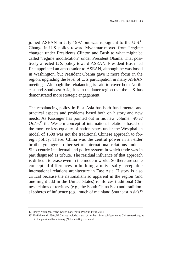joined ASEAN in July 1997 but was repugnant to the U.S.<sup>11</sup> Change in U. S. policy toward Myanmar moved from "regime change" under Presidents Clinton and Bush to what might be called "regime modification" under President Obama. That positively affected U. S. policy toward ASEAN. President Bush had first appointed an ambassador to ASEAN, although he was based in Washington, but President Obama gave it more focus in the region, upgrading the level of U. S. participation in many ASEAN meetings. Although the rebalancing is said to cover both Northeast and Southeast Asia, it is in the latter region that the U. S. has demonstrated more strategic engagement.

The rebalancing policy in East Asia has both fundamental and practical aspects and problems based both on history and new needs. As Kissinger has pointed out in his new volume, *World Order,*<sup>12</sup> the Western concept of international relations based on the more or less equality of nation-states under the Westphalian model of 1638 was not the traditional Chinese approach to foreign policy. There, China was the central power in an elder brother-younger brother set of international relations under a Sino-centric intellectual and policy system in which trade was in part disguised as tribute. The residual influence of that approach is difficult to erase even in the modern world. So there are some conceptual differences in building a universally acceptable international relations architecture in East Asia. History is also critical because the nationalism so apparent in the region (and one might add in the United States) reinforces traditional Chinese claims of territory (e.g., the South China Sea) and traditional spheres of influence (e.g., much of mainland Southeast Asia).13

<sup>12)</sup> Henry Kissinger, *World Order*. New York: Penguin Press, 2014.

<sup>13)</sup> Until the mid-1950s, PRC maps included much of northern Burma/Myanmar as Chinese territory, as did the previous Kuomintang (Nationalist) government.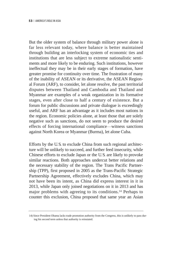But the older system of balance through military power alone is far less relevant today, where balance is better maintained through building an interlocking system of economic ties and institutions that are less subject to extreme nationalistic sentiments and more likely to be enduring. Such institutions, however ineffectual they may be in their early stages of formation, have greater promise for continuity over time. The frustration of many of the inability of ASEAN or its derivative, the ASEAN Regional Forum (ARF), to consider, let alone resolve, the past territorial disputes between Thailand and Cambodia and Thailand and Myanmar are examples of a weak organization in its formative stages, even after close to half a century of existence. But a forum for public discussions and private dialogue is exceedingly useful, and ARF has an advantage as it includes most nations in the region. Economic policies alone, at least those that are solely negative such as sanctions, do not seem to produce the desired effects of forcing international compliance—witness sanctions against North Korea or Myanmar (Burma), let alone Cuba.

Efforts by the U. S. to exclude China from such regional architecture will be unlikely to succeed, and further feed insecurity, while Chinese efforts to exclude Japan or the U. S. are likely to provoke similar reactions. Both approaches undercut better relations and the necessary stability of the region. The Trans Pacific Partnership (TPP), first proposed in 2005 as the Trans-Pacific Strategic Partnership Agreement, effectively excludes China, which may not have been its intent, as China did express interest in it in 2013, while Japan only joined negotiations on it in 2013 and has major problems with agreeing to its conditions.14 Perhaps to counter this exclusion, China proposed that same year an Asian

<sup>14)</sup> Since President Obama lacks trade promotion authority from the Congress, this is unlikely to pass during his second term unless that authority is reinstated.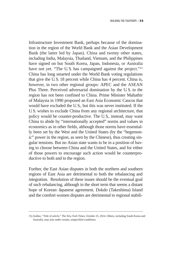Infrastructure Investment Bank, perhaps because of the domination in the region of the World Bank and the Asian Development Bank (the latter led by Japan). China and twenty other states, including India, Malaysia, Thailand, Vietnam, and the Philippines have signed on but South Korea, Japan, Indonesia, or Australia have not yet. "The U.S. has campaigned against the project."<sup>15</sup> China has long smarted under the World Bank voting regulations that give the U. S. 18 percent while China has 4 percent. China is, however, in two other regional groups: APEC and the ASEAN Plus Three. Perceived adversarial domination by the U. S. in the region has not been confined to China. Prime Minister Mahathir of Malaysia in 1990 proposed an East Asia Economic Caucus that would have excluded the U. S., but this was never instituted. If the U.S. wishes to exclude China from any regional architecture, that policy would be counter-productive. The U. S., instead, may want China to abide by "internationally accepted" norms and values in economics as in other fields, although those norms have essentially been set by the West and the United States (by the "hegemonic" power in the region, as seen by the Chinese), thus creating singular tensions. But no Asian state wants to be in a position of having to choose between China and the United States, and for either of those powers to encourage such action would be counterproductive to both and to the region.

Further, the East Asian disputes in both the northern and southern regions of East Asia are detrimental to both the rebalancing and integration. Resolution of these issues should be the eventual goal of such rebalancing, although in the short term that seems a distant hope of Korean–Japanese agreement. Dokdo (Takeshima) Island and the comfort women disputes are detrimental to regional stabili-

<sup>15)</sup> Author, "Title of article," *The New York Times*, October 25, 2014. Others, including South Korea and Australia, may join under certain, unspecified conditions.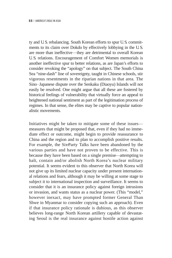ty and U. S. rebalancing. South Korean efforts to spur U. S. commitments to its claim over Dokdo by effectively lobbying in the U. S. are more than ineffective—they are detrimental to overall Korean U. S. relations. Encouragement of Comfort Women memorials is another ineffective spur to better relations, as are Japan's efforts to consider revoking the "apology" on that subject. The South China Sea "nine-dash" line of sovereignty, taught in Chinese schools, stir vigorous resentments in the riparian nations in that area. The Sino–Japanese dispute over the Senkaku (Diaoyu) Islands will not easily be resolved. One might argue that all these are fostered by historical feelings of vulnerability that virtually force an appeal to heightened national sentiment as part of the legitimation process of regimes. In that sense, the elites may be captive to popular nationalistic movements.

Initiatives might be taken to mitigate some of these issues measures that might be proposed that, even if they had no immediate effect or outcome, might begin to provide reassurance to China and the region and to plan to accomplish positive results. For example, the Six-Party Talks have been abandoned by the various parties and have not proven to be effective. This is because they have been based on a single premise—attempting to halt, contain and/or abolish North Korea's nuclear military potential. It seems evident to this observer that North Korea will not give up its limited nuclear capacity under present international relations and fears, although it may be willing at some stage to subject it to international inspection and surveillance. It seems to consider that it is an insurance policy against foreign intrusions or invasion, and wants status as a nuclear power. (This "model," however inexact, may have prompted former General Than Shwe in Myanmar to consider copying such an approach). Even if that insurance policy rationale is dubious, as this observer believes long-range North Korean artillery capable of devastating Seoul is the real insurance against hostile action against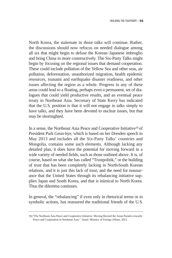North Korea, the stalemate in those talks will continue. Rather, the discussions should now refocus on needed dialogue among all six that might begin to defuse the Korean–Japanese imbroglio and bring China in more constructively. The Six-Party Talks might begin by focusing on the regional issues that demand cooperation. These could include pollution of the Yellow Sea and other seas, air pollution, deforestation, unauthorized migration, health epidemic resources, tsunami and earthquake disaster readiness, and other issues affecting the region as a whole. Progress in any of these areas could lead to a floating, perhaps even a permanent, set of dialogues that could yield productive results, and an eventual peace treaty in Northeast Asia. Secretary of State Kerry has indicated that the U.S. position is that it will not engage in talks simply to have talks, and they have been devoted to nuclear issues, but that may be shortsighted.

In a sense, the Northeast Asia Peace and Cooperative Initiative<sup>16</sup> of President Park Geun-hye, which is based on her Dresden speech in May 2013 and includes all the Six-Party Talks' countries and Mongolia, contains some such elements. Although lacking any detailed plan, it does have the potential for moving forward in a wide variety of needed fields, such as those outlined above. It is, of course, based on what she has called "Trustpolitik," or the building of trust that has been completely lacking in North-South Korean relations, and it is just this lack of trust, and the need for reassurance that the United States through its rebalancing initiative supplies Japan and South Korea, and that is inimical to North Korea. Thus the dilemma continues.

In general, the "rebalancing" if even only in rhetorical terms or in symbolic actions, has reassured the traditional friends of the U.S.

<sup>16) &</sup>quot;The Northeast Asia Peace and Cooperative Initiative. Moving Beyond the Asian Paradox towards Peace and Cooperation in Northeast Asia." Seoul: Ministry of Foreign Affairs, 2013.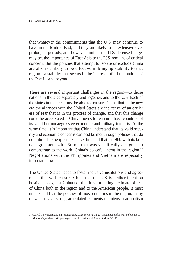that whatever the commitments that the U. S. may continue to have in the Middle East, and they are likely to be extensive over prolonged periods, and however limited the U. S. defense budget may be, the importance of East Asia to the U. S. remains of critical concern. But the policies that attempt to isolate or exclude China are also not likely to be effective in bringing stability to that region─a stability that seems in the interests of all the nations of the Pacific and beyond.

There are several important challenges in the region—to those nations in the area separately and together, and to the U. S. Each of the states in the area must be able to reassure China that in the new era the alliances with the United States are indicative of an earlier era of fear that is in the process of change, and that this change could be accelerated if China moves to reassure those countries of its valid but nonaggressive economic and military interests. At the same time, it is important that China understand that its valid security and economic concerns can best be met through policies that do not intimidate peripheral states. China did that in 1960 with its border agreement with Burma that was specifically designed to demonstrate to the world China's peaceful intent in the region.17 Negotiations with the Philippines and Vietnam are especially important now.

The United States needs to foster inclusive institutions and agreements that will reassure China that the U.S. is neither intent on hostile acts against China nor that it is furthering a climate of fear of China both in the region and to the American people. It must understand that the policies of most countries in the region, many of which have strong articulated elements of intense nationalism

<sup>17)</sup> David I. Steinberg and Fan Hongwei. (2012). *Modern China-Myanmar Relations: Dilemmas of Mutual Dependence.* (Copenhagen: Nordic Institute of Asian Studies. 55–68.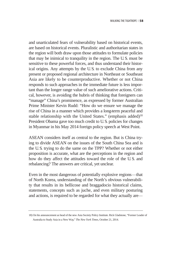and unarticulated fears of vulnerability based on historical events, are based on historical events. Pluralistic and authoritarian states in the region will both draw upon those attitudes to formulate policies that may be inimical to tranquility in the region. The U. S. must be sensitive to these powerful forces, and thus understand their historical origins. Any attempts by the U. S. to exclude China from any present or proposed regional architecture in Northeast or Southeast Asia are likely to be counterproductive. Whether or not China responds to such approaches in the immediate future is less important than the longer range value of such ameliorative actions. Critical, however, is avoiding the hubris of thinking that foreigners can "manage" China's prominence, as expressed by former Australian Prime Minister Kevin Rudd: "How do we ensure we manage the rise of China in a manner which provides a long-term peaceful and stable relationship with the United States." (emphasis added)<sup>18</sup> President Obama gave too much credit to U. S. policies for changes in Myanmar in his May 2014 foreign policy speech at West Point.

ASEAN considers itself as central to the region. But is China trying to divide ASEAN on the issues of the South China Sea and is the U. S. trying to do the same on the TPP? Whether or not either proposition is accurate, what are the perceptions in the region and how do they affect the attitudes toward the role of the U. S. and rebalancing? The answers are critical, yet unclear.

Even in the most dangerous of potentially explosive regions—that of North Korea, understanding of the North's obvious vulnerability that results in its bellicose and braggadocio historical claims, statements, concepts such as juche, and even military posturing and actions, is required to be regarded for what they actually are—

<sup>18)</sup> On his announcement as head of the new Asia Society Policy Institute. Rick Gladstone, "Former Leader of Australia to Study Asia in a New Way," *The New York Times*, October 21, 2014.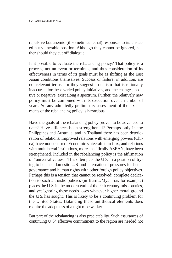repulsive but anemic (if sometimes lethal) responses to its unstated but vulnerable position. Although they cannot be ignored, neither should they cut off dialogue.

Is it possible to evaluate the rebalancing policy? That policy is a process, not an event or terminus, and thus consideration of its effectiveness in terms of its goals must be as shifting as the East Asian conditions themselves. Success or failure, in addition, are not relevant terms, for they suggest a dualism that is rationally inaccurate for these varied policy initiatives, and the changes, positive or negative, exist along a spectrum. Further, the relatively new policy must be combined with its execution over a number of years. So any admittedly preliminary assessment of the six elements of the rebalancing policy is hazardous.

Have the goals of the rebalancing policy proven to be advanced to date? Have alliances been strengthened? Perhaps only in the Philippines and Australia, and in Thailand there has been deterioration of relations. Improved relations with emerging powers (China) have not occurred. Economic statecraft is in flux, and relations with multilateral institutions, more specifically ASEAN, have been strengthened. Included in the rebalancing policy is the affirmation of "universal values." This often puts the U. S. in a position of trying to balance domestic U. S. and international pressures for better governance and human rights with other foreign policy objectives. Perhaps this is a tension that cannot be resolved: complete dedication to such altruistic policies (in Burma/Myanmar, for example) places the U. S. in the modern garb of the l9th century missionaries, and yet ignoring these needs loses whatever higher moral ground the U. S. has sought. This is likely to be a continuing problem for the United States. Balancing these antithetical elements does require the adeptness of a tight rope walker.

But part of the rebalancing is also predictability. Such assurances of continuing U. S.' effective commitment to the region are needed not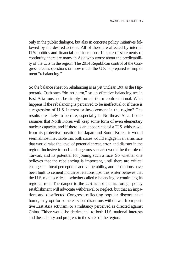only in the public dialogue, but also in concrete policy initiatives followed by the desired actions. All of these are affected by internal U. S. politics and financial considerations. In spite of statements of continuity, there are many in Asia who worry about the predictability of the U. S. in the region. The 2014 Republican control of the Congress creates questions on how much the U. S. is prepared to implement "rebalancing."

So the balance sheet on rebalancing is as yet unclear. But as the Hippocratic Oath says "do no harm," so an effective balancing act in East Asia must not be simply formalistic or confrontational. What happens if the rebalancing is perceived to be ineffectual or if there is a regression of U. S. interest or involvement in the region? The results are likely to be dire, especially in Northeast Asia. If one assumes that North Korea will keep some form of even elementary nuclear capacity, and if there is an appearance of a U. S. withdrawal from its protective position for Japan and South Korea, it would seem almost inevitable that both states would engage in an arms race that would raise the level of potential threat, error, and disaster in the region. Inclusive in such a dangerous scenario would be the role of Taiwan, and its potential for joining such a race. So whether one believes that the rebalancing is important, until there are critical changes in threat perceptions and vulnerability, and institutions have been built to cement inclusive relationships, this writer believes that the U.S. role is critical—whether called rebalancing or continuing its regional role. The danger to the U. S. is not that its foreign policy establishment will advocate withdrawal or neglect, but that an impatient and disaffected Congress, reflecting popular discontent at home, may opt for some easy but disastrous withdrawal from positive East Asia activism, or a militancy perceived as directed against China. Either would be detrimental to both U. S. national interests and the stability and progress in the states of the region.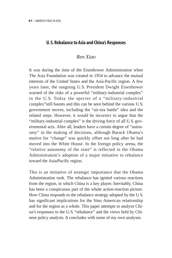## **U. S. Rebalance to Asia and China's Responses**

# *Ren Xiao*

It was during the time of the Eisenhower Administration when The Asia Foundation was created in 1954 to advance the mutual interests of the United States and the Asia-Pacific region. A few years later, the outgoing U. S. President Dwight Eisenhower warned of the risks of a powerful "military-industrial complex" in the U. S. Today the specter of a "military-industrial complex"still haunts and this can be seen behind the various U. S. government moves, including the "air-sea battle" idea and the related steps. However, it would be incorrect to argue that the "military-industrial complex" is the driving force of all U. S. governmental acts. After all, leaders have a certain degree of "autonomy" in the making of decisions, although Barack Obama's motive for "change" was quickly offset not long after he had moved into the White House. In the foreign policy arena, the "relative autonomy of the state" is reflected in the Obama Administration's adoption of a major initiative to rebalance toward the Asia-Pacific region.

This is an initiative of strategic importance that the Obama Administration took. The rebalance has ignited various reactions from the region, in which China is a key player. Inevitably, China has been a conspicuous part of the whole action-reaction picture. How China responds to the rebalance strategy adopted by the U. S. has significant implications for the Sino American relationship –and for the region as a whole. This paper attempts to analyze China's responses to the U. S. "rebalance" and the views held by Chinese policy analysts. It concludes with some of my own analyses.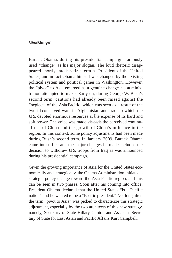#### **A Real Change?**

Barack Obama, during his presidential campaign, famously used "change" as his major slogan. The loud rhetoric disappeared shortly into his first term as President of the United States, and in fact Obama himself was changed by the existing political system and political games in Washington. However, the "pivot" to Asia emerged as a genuine change his administration attempted to make. Early on, during George W. Bush's second term, cautions had already been raised against the "neglect" of the Asia-Pacific, which was seen as a result of the two ill-conceived wars in Afghanistan and Iraq, to which the U. S. devoted enormous resources at the expense of its hard and soft power. The voice was made vis-a-vis the perceived continual rise of China and the growth of China's influence in the region. In this context, some policy adjustments had been made during Bush's second term. In January 2009, Barack Obama came into office and the major changes he made included the decision to withdraw U.S. troops from Iraq as was announced during his presidential campaign.

Given the growing importance of Asia for the United States economically and strategically, the Obama Administration initiated a strategic policy change toward the Asia-Pacific region, and this can be seen in two phases. Soon after his coming into office, President Obama declared that the United States "is a Pacific nation" and he wanted to be a "Pacific president." Not long after, the term "pivot to Asia" was picked to characterize this strategic adjustment, especially by the two architects of this new strategy, namely, Secretary of State Hillary Clinton and Assistant Secretary of State for East Asian and Pacific Affairs Kurt Campbell.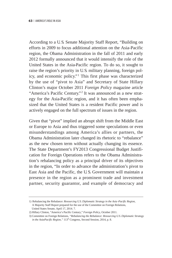According to a U. S. Senate Majority Staff Report, "Building on efforts in 2009 to focus additional attention on the Asia-Pacific region, the Obama Administration in the fall of 2011 and early 2012 formally announced that it would intensify the role of the United States in the Asia-Pacific region. To do so, it sought to raise the region's priority in U. S. military planning, foreign policy, and economic policy."<sup>1</sup> This first phase was characterized by the use of "pivot to Asia" and Secretary of State Hillary Clinton's major October 2011 *Foreign Policy* magazine article "America's Pacific Century."<sup>2</sup> It was announced as a new strategy for the Asia-Pacific region, and it has often been emphasized that the United States is a resident Pacific power and is actively engaged on the full spectrum of issues in the region.

Given that "pivot" implied an abrupt shift from the Middle East or Europe to Asia and thus triggered some speculations or even misunderstandings among America's allies or partners, the Obama Administration later changed its rhetoric to "rebalance" as the new chosen term without actually changing its essence. The State Department's FY2013 Congressional Budget Justification for Foreign Operations refers to the Obama Administration's rebalancing policy as a principal driver of its objectives in the region, "In order to advance the administration's pivot to East Asia and the Pacific, the U. S. Government will maintain a presence in the region as a prominent trade and investment partner, security guarantor, and example of democracy and

<sup>1)</sup> Rebalancing the Rebalance: *Resourcing U.S. Diplomatic Strategy in the Asia Pacific Region,* -A Majority Staff Report prepared for the use of the Committee on Foreign Relations, United States Senate, April 17, 2014. 7.

<sup>2)</sup> Hillary Clinton, "America's Pacific Century," *Foreign Policy*, October 2011.

<sup>3)</sup> Committee on Foreign Relations, *"Rebalancing the Rebalance: Resourcing U.S. Diplomatic Strategy in the Asia-Pacific Region,"* 113<sup>th</sup> Congress, Second Session, 2014, p. 8.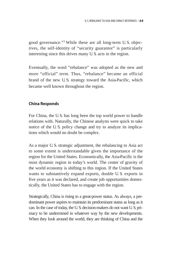good governance."3 While these are all long-term U. S. objectives, the self-identity of "security guarantor" is particularly interesting since this drives many U. S. acts in the region.

Eventually, the word "rebalance" was adopted as the new and more "official" term. Thus, "rebalance" became an official brand of the new U. S. strategy toward the Asia-Pacific, which became well known throughout the region.

# **China Responds**

For China, the U. S. has long been the top world power to handle relations with. Naturally, the Chinese analysts were quick to take notice of the U. S. policy change and try to analyze its implications which would no doubt be complex.

As a major U. S. strategic adjustment, the rebalancing to Asia act to some extent is understandable given the importance of the region for the United States. Economically, the Asia-Pacific is the most dynamic region in today's world. The center of gravity of the world economy is shifting to this region. If the United States wants to substantively expand exports, double U. S. exports in five years as it was declared, and create job opportunities domestically, the United States has to engage with the region.

Strategically, China is rising to a great-power status. As always, a predominant power aspires to maintain its predominant status as long as it can. In the case of today, the U. S. decision-makers do not want U. S. primacy to be undermined in whatever way by the new developments. When they look around the world, they are thinking of China and the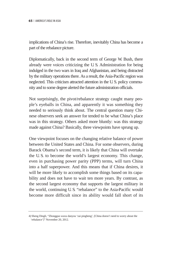implications of China's rise. Therefore, inevitably China has become a part of the rebalance picture.

Diplomatically, back in the second term of George W. Bush, there already were voices criticizing the U. S. Administration for being indulged in the two wars in Iraq and Afghanistan, and being distracted by the military operations there. As a result, the Asia-Pacific region was neglected. This criticism attracted attention in the U. S. policy community and to some degree alerted the future administration officials.

Not surprisingly, the pivot/rebalance strategy caught many people's eyeballs in China, and apparently it was something they needed to seriously think about. The central question many Chinese observers seek an answer for tended to be what China's place was in this strategy. Others asked more bluntly: was this strategy made against China? Basically, three viewpoints have sprung up.

One viewpoint focuses on the changing relative balance of power between the United States and China. For some observers, during Barack Obama's second term, it is likely that China will overtake the U. S. to become the world's largest economy. This change, even in purchasing power parity (PPP) terms, will turn China into a half superpower. And this means that if China desires, it will be more likely to accomplish some things based on its capability and does not have to wait ten more years. By contrast, as the second largest economy that supports the largest military in the world, continuing U. S. "rebalance" to the Asia-Pacific would become more difficult since its ability would fall short of its

<sup>4)</sup> Sheng Dingli, "Zhongguo wuxu danyou 'zai pingheng', [China doesn't need to worry about the 'rebalance']" November 20, 2012.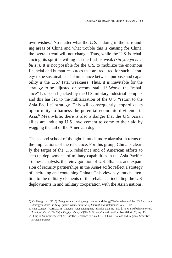own wishes.4 No matter what the U. S. is doing in the surrounding areas of China and what trouble this is causing for China, the overall trend will not change. Thus, while the U. S. is rebalancing, its spirit is willing but the flesh is weak *(xin you yu er li ). It is not possible for the U.S. to mobilize the enormous* financial and human resources that are required for such a strategy to be sustainable. The imbalance between purpose and capability is the U.S.' fatal weakness. Thus, it is inevitable for the strategy to be adjusted or become stalled.<sup>5</sup> Worse, the "rebalance" has been hijacked by the U. S. military-industrial complex and this has led to the militarization of the U. S. "return to the Asia-Pacific" strategy. This will consequently jeopardize its opportunity to harness the potential economic dividends in Asia.6 Meanwhile, there is also a danger that the U. S. Asian allies are inducing U. S. involvement to come to their aid by wagging the tail of the American dog.

The second school of thought is much more alarmist in terms of the implications of the rebalance. For this group, China is clearly the target of the U. S. rebalance and of American efforts to step up deployments of military capabilities in the Asia-Pacific. To these analysts, the reinvigoration of U. S. alliances and expansion of security partnerships in the Asia-Pacific reflect a strategy of encircling and containing China.7 This view pays much attention to the military elements of the rebalance, including the U. S. deployments in and military cooperation with the Asian nations.

<sup>5)</sup> Yu Zhengliang. (2013) "Meiguo yatai zaipingheng zhanlue de shiheng [The Imbalance of the U.S. Rebalance Strategy in Asia"] in *Guoji guanxi yanjiu [Journal of International Relations]* No. 2, 3-12.

<sup>6)</sup> Ruan Zongze. (April 2013). "Meiguo 'yatai zaipingheng' zhanlue qianjing lunxi [The U.S. Rebalance toward Asia:Quo Vadis?]" in *Shijie jingji yu zhengzhi* [*World Economics and Politics* ] No. 404, 4 20, esp. 13.

Asia:Quo Vadis?]" in *Shijie jingji yu zhengzhi* [*World Economics and Politics* ] No. 404, 4–20, esp. 13.<br>(7) Philip C. Saunders.(August 2013.) "The Rebalance to Asia: U.S. China Relations and Regional Security" *Strategic Forum*,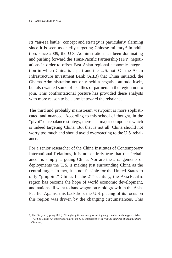Its "air-sea battle" concept and strategy is particularly alarming since it is seen as chiefly targeting Chinese military.8 In addition, since 2009, the U. S. Administration has been dominating and pushing forward the Trans-Pacific Partnership (TPP) negotiations in order to offset East Asian regional economic integration in which China is a part and the U. S. not. On the Asian Infrastructure Investment Bank (AIIB) that China initiated, the Obama Administration not only held a negative attitude itself, but also wanted some of its allies or partners in the region not to join. This confrontational posture has provided these analysts with more reason to be alarmist toward the rebalance.

The third and probably mainstream viewpoint is more sophisticated and nuanced. According to this school of thought, in the "pivot" or rebalance strategy, there is a major component which is indeed targeting China. But that is not all. China should not worry too much and should avoid overreacting to the U. S. rebalance.

For a senior researcher of the China Institutes of Contemporary International Relations, it is not entirely true that the "rebalance" is simply targeting China. Nor are the arrangements or deployments the U. S. is making just surrounding China as the central target. In fact, it is not feasible for the United States to only "pinpoint" China. In the  $21<sup>st</sup>$  century, the Asia-Pacific region has become the hope of world economic development, and nations all want to bandwagon on rapid growth in the Asia-Pacific. Against this backdrop, the U. S. placing of its focus on this region was driven by the changing circumstances. This

<sup>8)</sup> Fan Gaoyue. (Spring 2013). "Konghai yitizhan: meiguo zaipingheng zhanlue de zhongyao zhizhu [Air-Sea Battle: An Important Pillar of the U.S. 'Rebalance']" in *Waijiao guancha* [*Foreign Affairs Observer*].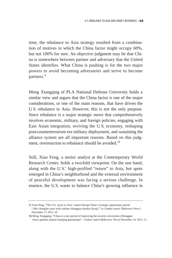time, the rebalance to Asia strategy resulted from a combination of motives in which the China factor might occupy 60%, but not 100% for sure. An objective judgment may be that China is somewhere between partner and adversary that the United States identifies. What China is pushing is for the two major powers to avoid becoming adversaries and strive to become partners.<sup>9</sup>

Meng Xiangqing of PLA National Defense University holds a similar view and argues that the China factor is one of the major considerations, or one of the main reasons, that have driven the U. S. rebalance to Asia. However, this is not the only purpose. Since rebalance is a major strategic move that comprehensively involves economic, military, and foreign policies, engaging with East Asian integration, reviving the U. S. economy, reshaping post-counterterrorism era military deployment, and sustaining the alliance system are all important reasons. Based on this judgment, overreaction to rebalance should be avoided.<sup>10</sup>

Still, Xiao Feng, a senior analyst at the Contemporary World Research Center, holds a two-fold viewpoint. On the one hand, along with the U. S.' high-profiled "return" to Asia, hot spots emerged in China's neighborhood and the external environment of peaceful development was facing a serious challenge. In essence, the U. S. wants to balance China's growing influence in

<sup>9)</sup> Yuan Peng, "The U.S. 'pivot to Asia' cannot disrupt China's strategic opportunity period [ Mei chongfan yatai wufa zuduan zhongguo zhanlue jiyuqi]" in *Cankao xiaoxi* [*Reference News*]. December 17, 2012, 10.

<sup>10)</sup> Meng Xiangqing, "China in a key period of improving the security enviroment (Zhongguo chuyu gaishan anquan huanjing guanjianqi)" . *Cankao xiaoxi* (*Reference News*) December 14, 2012, 11.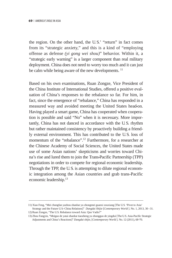the region. On the other hand, the U. S.' "return" in fact comes from its "strategic anxiety," and this is a kind of "employing offense as defense *(yi gong wei shou)*" behavior. Within it, a "strategic early warning" is a larger component than real military deployment. China does not need to worry too much and it can just be calm while being aware of the new developments.<sup>11</sup>

Based on his own examinations, Ruan Zongze, Vice President of the China Institute of International Studies, offered a positive evaluation of China's responses to the rebalance so far. For him, in fact, since the emergence of "rebalance," China has responded in a measured way and avoided meeting the United States head-on. Having played a smart game, China has cooperated when cooperation is possible and said "No" when it is necessary. More importantly, China has not danced in accordance with the U. S. rhythm but rather maintained consistency by proactively building a friendly external environment. This has contributed to the U. S. loss of momentum of the "rebalance".<sup>12</sup> Furthermore, for a researcher at the Chinese Academy of Social Sciences, the United States made use of some Asian nations' skepticisms and worries toward China's rise and lured them to join the Trans-Pacific Partnership (TPP) negotiations in order to compete for regional economic leadership. Through the TPP, the U. S. is attempting to dilute regional economic integration among the Asian countries and grab trans-Pacific economic leadership.13

<sup>11)</sup> Xiao Feng, "Mei chongfan yazhou zhanlue yu zhongmei guanxi zouxiang [The U.S. 'Pivot to Asia' Strategy and the Future U.S.-China Relations]" *Dangdai Shijie* [Contemporary World ]. No. 1, 2013, 30-31.

<sup>12)</sup> Ruan Zongze, "The U.S. Rebalance toward Asia: Quo Vadis?"

<sup>13)</sup> Zhou Fangyin, "Meiguo de yatai zhanlue tiaozheng yu zhongguo de yingdui [The U.S. Asia-Pacific Strategic Adjustments and China's Reactions]" *Dangdai shijie*, [Contemporary World ]. No. 12 (2011), 68-70.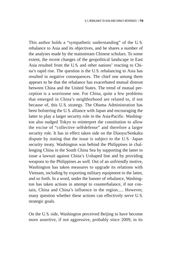This author holds a "sympathetic understanding" of the U. S. rebalance to Asia and its objectives, and he shares a number of the analyses made by the mainstream Chinese scholars. To some extent, the recent changes of the geopolitical landscape in East Asia resulted from the U. S. and other nations' reacting to China's rapid rise. The question is the U. S. rebalancing to Asia has resulted in negative consequences. The chief one among them appears to be that the rebalance has exacerbated mutual distrust between China and the United States. The trend of mutual perception is a worrisome one. For China, quite a few problems that emerged in China's neighborhood are related to, if not because of, this U. S. strategy. The Obama Administration has been bolstering the U. S. alliance with Japan and encouraging the latter to play a larger security role in the Asia-Pacific. Washington also nudged Tokyo to reinterpret the constitution to allow the excise of "collective self-defense" and therefore a larger security role. It has in effect taken side on the Diaoyu/Senkaku dispute by stating that the issue is subject to the U. S.–Japan security treaty. Washington was behind the Philippines in challenging China in the South China Sea by supporting the latter to issue a lawsuit against China's U-shaped line and by providing weapons to the Philippines as well. Out of an unfriendly motive, Washington has taken measures to upgrade its relations with Vietnam, including by exporting military equipment to the latter, and so forth. In a word, under the banner of rebalance, Washington has taken actions in attempt to counterbalance, if not contain, China and China's influence in the region..... However, many question whether these actions can effectively serve U. S. strategic goals.

On the U. S. side, Washington perceived Beijing to have become more assertive, if not aggressive, probably since 2009, in its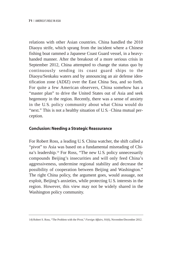relations with other Asian countries. China handled the 2010 Diaoyu strife, which sprang from the incident where a Chinese fishing boat rammed a Japanese Coast Guard vessel, in a heavyhanded manner. After the breakout of a more serious crisis in September 2012, China attempted to change the status quo by continuously sending its coast guard ships to the Diaoyu/Senkaku waters and by announcing an air defense identification zone (ADIZ) over the East China Sea, and so forth. For quite a few American observers, China somehow has a "master plan" to drive the United States out of Asia and seek hegemony in the region. Recently, there was a sense of anxiety in the U. S. policy community about what China would do "next." This is not a healthy situation of U. S.–China mutual perception.

### **Conclusion: Needing a Strategic Reassurance**

For Robert Ross, a leading U. S. China watcher, the shift called a "pivot" to Asia was based on a fundamental misreading of China's leadership.14 For Ross, "The new U. S. policy unnecessarily compounds Beijing's insecurities and will only feed China's aggressiveness, undermine regional stability and decrease the possibility of cooperation between Beijing and Washington." The right China policy, the argument goes, would assuage, not exploit, Beijing's anxieties, while protecting U. S. interests in the region. However, this view may not be widely shared in the Washington policy community.

<sup>14)</sup> Robert S. Ross, "The Problem with the Pivot," *Foreign Affairs, 91*(6), November/December 2012.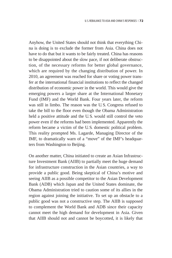Anyhow, the United States should not think that everything China is doing is to exclude the former from Asia. China does not have to do that but it wants to be fairly treated. China has reasons to be disappointed about the slow pace, if not deliberate obstruction, of the necessary reforms for better global governance, which are required by the changing distribution of power. In 2010, an agreement was reached for share or voting power transfer at the international financial institutions to reflect the changed distribution of economic power in the world. This would give the emerging powers a larger share at the International Monetary Fund (IMF) and the World Bank. Four years later, the reform was still in limbo. The reason was the U. S. Congress refused to take the bill to the floor even though the Obama Administration held a positive attitude and the U. S. would still control the veto power even if the reforms had been implemented. Apparently the reform became a victim of the U. S. domestic political problem. This reality prompted Ms. Lagarde, Managing Director of the IMF, to dramatically warn of a "move" of the IMF's headquarters from Washington to Beijing.

On another matter, China initiated to create an Asian Infrastructure Investment Bank (AIIB) to partially meet the huge demand for infrastructure construction in the Asian countries, a way to provide a public good. Being skeptical of China's motive and seeing AIIB as a possible competitor to the Asian Development Bank (ADB) which Japan and the United States dominate, the Obama Administration tried to caution some of its allies in the region against joining the initiative. To set up an obstacle to a public good was not a constructive step. The AIIB is supposed to complement the World Bank and ADB since their capacity cannot meet the high demand for development in Asia. Given that AIIB should not and cannot be boycotted, it is likely that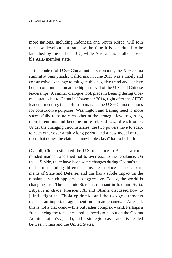more nations, including Indonesia and South Korea, will join the new development bank by the time it is scheduled to be launched by the end of 2015, while Australia is another possible AIIB member state.

In the context of U. S.–China mutual suspicions, the Xi–Obama summit at Sunnylands, California, in June 2013 was a timely and constructive exchange to mitigate this negative trend and achieve better communication at the highest level of the U. S. and Chinese leaderships. A similar dialogue took place in Beijing during Obama's state visit to China in November 2014, right after the APEC leaders' meeting, in an effort to manage the U. S.–China relations for constructive purposes. Washington and Beijing need to more successfully reassure each other at the strategic level regarding their intentions and become more relaxed toward each other. Under the changing circumstances, the two powers have to adapt to each other over a fairly long period, and a new model of relations that defies the claimed "inevitable clash" has to be built.

Overall, China estimated the U. S. rebalance to Asia in a coolminded manner, and tried not to overreact to the rebalance. On the U. S. side, there have been some changes during Obama's second term including different teams are in place at the Departments of State and Defense, and this has a subtle impact on the rebalance which appears less aggressive. Today, the world is changing fast. The "Islamic State" is rampant in Iraq and Syria. Libya is in chaos. President Xi and Obama discussed how to jointly fight the Ebola epidemic, and the two governments reached an important agreement on climate change..... After all, this is not a black-and-white but rather complex world. Perhaps a "rebalancing the rebalance" policy needs to be put on the Obama Administration's agenda, and a strategic reassurance is needed between China and the United States.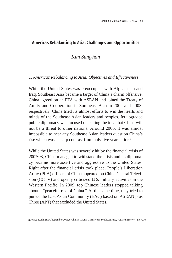# **America's Rebalancing to Asia: Challenges and Opportunities**

# *Kim Sung-han*

### *1. America's Rebalancing to Asia: Objectives and Effectiveness*

While the United States was preoccupied with Afghanistan and Iraq, Southeast Asia became a target of China's charm offensive. China agreed on an FTA with ASEAN and joined the Treaty of Amity and Cooperation in Southeast Asia in 2002 and 2003, respectively. China tried its utmost efforts to win the hearts and minds of the Southeast Asian leaders and peoples. Its upgraded public diplomacy was focused on selling the idea that China will not be a threat to other nations. Around 2006, it was almost impossible to hear any Southeast Asian leaders question China's rise which was a sharp contrast from only five years prior.<sup>1</sup>

While the United States was severely hit by the financial crisis of 2007-08, China managed to withstand the crisis and its diplomacy became more assertive and aggressive to the United States. Right after the financial crisis took place, People's Liberation Army (PLA) officers of China appeared on China Central Television (CCTV) and openly criticized U. S. military activities in the Western Pacific. In 2009, top Chinese leaders stopped talking about a "peaceful rise of China." At the same time, they tried to pursue the East Asian Community (EAC) based on ASEAN plus Three (APT) that excluded the United States.

<sup>1)</sup> Joshua Kurlantzick.(September 2006,) "China's Charm Offensive in Southeast Asia," *Current History.* 270-276.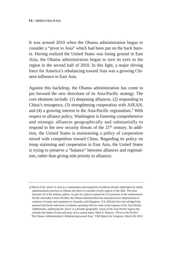It was around 2010 when the Obama administration began to consider a "pivot to Asia" which had been put on the back burner. Having realized the United States was losing ground in East Asia, the Obama administration began to turn its eyes to the region in the second half of 2010. In this light, a major driving force for America's rebalancing toward Asia was a growing Chinese influence in East Asia.

Against this backdrop, the Obama administration has come to put forward the new directions of its Asia-Pacific strategy. The core elements include: (1) deepening alliances, (2) responding to China's resurgence, (3) strengthening cooperation with ASEAN, and (4) a growing interest in the Asia-Pacific regionalism.2 With respect to alliance policy, Washington is fostering comprehensive and strategic alliances geographically and substantially to respond to the new security threats of the 21<sup>st</sup> century. In addition, the United States is maintaining a policy of cooperation mixed with competition toward China. Regarding its policy on troop stationing and cooperation in East Asia, the United States is trying to preserve a "balance" between alliances and regionalism, rather than giving sole priority to alliances.

<sup>2)</sup> Much of the 'pivot' to Asia is a continuation and expansion of policies already undertaken by earlier administrations previous to Obama, but there is a number of new aspects of the shift. The most dramatic lie in the military sphere. As part of a plan to expand the U.S. presence in the southwestern Pacific and make it more flexible, the Obama administration has announced new deployments or rotations of troops and equipment to Australia and Singapore. U.S. officials have also pledged that planned and future reductions in defense spending will not come at the expense of the Asia-Pacific. Additionally, underlying the 'pivot' is a broader geographic vision of the Asia-Pacific region that includes the Indian Ocean and many of its coastal states. Mark E. Manyin, "Pivot to the Pacific? The Obama Administration's Rebalancing toward Asia," *CRS Report for Congress*, March 28, 2012.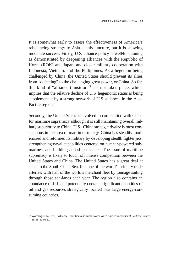It is somewhat early to assess the effectiveness of America's rebalancing strategy to Asia at this juncture, but it is showing moderate success. Firstly, U. S. alliance policy is well-functioning as demonstrated by deepening alliances with the Republic of Korea (ROK) and Japan, and closer military cooperation with Indonesia, Vietnam, and the Philippines. As a hegemon being challenged by China, the United States should prevent its allies from "defecting" to the challenging great power, or China. So far, this kind of "alliance transition"3 has not taken place, which implies that the relative decline of U. S. hegemonic status is being supplemented by a strong network of U. S. alliances in the Asia-Pacific region.

Secondly, the United States is involved in competition with China for maritime supremacy although it is still maintaining overall military superiority to China. U. S.–China strategic rivalry is most conspicuous in the area of maritime strategy. China has steadily modernized and reformed its military by developing stealth fighter jets, strengthening naval capabilities centered on nuclear-powered submarines, and building anti-ship missiles. The issue of maritime supremacy is likely to touch off intense competition between the United States and China. The United States has a great deal at stake in the South China Sea. It is one of the world's primary trade arteries, with half of the world's merchant fleet by tonnage sailing through those sea-lanes each year. The region also contains an abundance of fish and potentially contains significant quantities of oil and gas resources strategically located near large energy-consuming countries.

<sup>3)</sup> Woosang Kim.(1991,) "Alliance Transitions and Great Power War," *American Journal of Political Science,* 35(4). 833-850.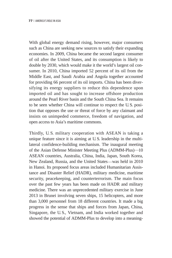With global energy demand rising, however, major consumers such as China are seeking new sources to satisfy their expanding economies. In 2009, China became the second largest consumer of oil after the United States, and its consumption is likely to double by 2030, which would make it the world's largest oil consumer. In 2010, China imported 52 percent of its oil from the Middle East, and Saudi Arabia and Angola together accounted for providing 66 percent of its oil imports. China has been diversifying its energy suppliers to reduce this dependence upon imported oil and has sought to increase offshore production around the Pearl River basin and the South China Sea. It remains to be seen whether China will continue to respect the U. S. position that opposes the use or threat of force by any claimant and insists on unimpeded commerce, freedom of navigation, and open access to Asia's maritime commons.

Thirdly, U. S. military cooperation with ASEAN is taking a unique feature since it is aiming at U. S. leadership in the multilateral confidence-building mechanism. The inaugural meeting of the Asian Defense Minister Meeting Plus (ADMM-Plus)—10 ASEAN countries, Australia, China, India, Japan, South Korea, New Zealand, Russia, and the United States─was held in 2010 in Hanoi. Its proposed focus areas included Humanitarian Assistance and Disaster Relief (HADR), military medicine, maritime security, peacekeeping, and counterterrorism. The main focus over the past few years has been made on HADR and military medicine. There was an unprecedented military exercise in June 2013 in Brunei involving seven ships, 15 helicopters, and more than 3,000 personnel from 18 different countries. It made a big progress in the sense that ships and forces from Japan, China, Singapore, the U. S., Vietnam, and India worked together and showed the potential of ADMM-Plus to develop into a meaning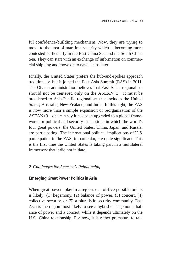ful confidence-building mechanism. Now, they are trying to move to the area of maritime security which is becoming more contested particularly in the East China Sea and the South China Sea. They can start with an exchange of information on commercial shipping and move on to naval ships later.

Finally, the United States prefers the hub-and-spokes approach traditionally, but it joined the East Asia Summit (EAS) in 2011. The Obama administration believes that East Asian regionalism should not be centered only on the  $ASEAN+3$ —it must be broadened to Asia-Pacific regionalism that includes the United States, Australia, New Zealand, and India. In this light, the EAS is now more than a simple expansion or reorganization of the ASEAN+3—one can say it has been upgraded to a global framework for political and security discussions in which the world's four great powers, the United States, China, Japan, and Russia, are participating. The international political implications of U. S. participation in the EAS, in particular, are quite significant. This is the first time the United States is taking part in a multilateral framework that it did not initiate.

### *2. Challenges for America's Rebalancing*

### **Emerging Great Power Politics in Asia**

When great powers play in a region, one of five possible orders is likely: (1) hegemony, (2) balance of power, (3) concert, (4) collective security, or (5) a pluralistic security community. East Asia is the region most likely to see a hybrid of hegemonic balance of power and a concert, while it depends ultimately on the U. S.–China relationship. For now, it is rather premature to talk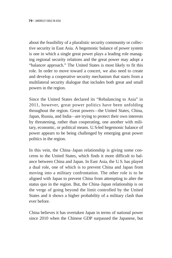about the feasibility of a pluralistic security community or collective security in East Asia. A hegemonic balance of power system is one in which a single great power plays a leading role managing regional security relations and the great power may adopt a "balancer approach." The United States is most likely to fit this role. In order to move toward a concert, we also need to create and develop a cooperative security mechanism that starts from a multilateral security dialogue that includes both great and small powers in the region.

Since the United States declared its "Rebalancing to Asia" in 2011, however, great power politics have been unfolding throughout the region. Great powers─the United States, China, Japan, Russia, and India─are trying to protect their own interests by threatening, rather than cooperating, one another with military, economic, or political means. U. S.-led hegemonic balance of power appears to be being challenged by emerging great power politics in the region.

In this vein, the China-Japan relationship is giving some concerns to the United States, which finds it more difficult to balance between China and Japan. In East Asia, the U. S. has played a dual role, one of which is to prevent China and Japan from moving into a military confrontation. The other role is to be aligned with Japan to prevent China from attempting to alter the status quo in the region. But, the China–Japan relationship is on the verge of going beyond the limit controlled by the United States and it shows a higher probability of a military clash than ever before.

China believes it has overtaken Japan in terms of national power since 2010 when the Chinese GDP surpassed the Japanese, but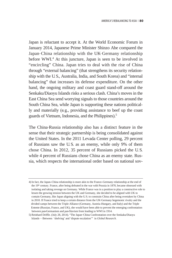Japan is reluctant to accept it. At the World Economic Forum in January 2014, Japanese Prime Minister Shinzo Abe compared the Japan–China relationship with the UK–Germany relationship before WWI.<sup>4</sup> At this juncture, Japan is seen to be involved in "encircling" China. Japan tries to deal with the rise of China through "external balancing" (that strengthens its security relationship with the U. S., Australia, India, and South Korea) and "internal balancing" that increases its defense expenditure. On the other hand, the ongoing military and coast guard stand-off around the Senkaku/Diaoyu Islands risks a serious clash. China's moves in the East China Sea send worrying signals to those countries around the South China Sea, while Japan is supporting these nations politically and materially (e.g., providing assistance to beef up the coast guards of Vietnam, Indonesia, and the Philippines).5

The China–Russia relationship also has a distinct feature in the sense that their strategic partnership is being consolidated against the United States. In the 2011 Levada Center polling, 29 percent of Russians saw the U. S. as an enemy, while only 9% of them chose China. In 2012, 35 percent of Russians picked the U. S. while 4 percent of Russians chose China as an enemy state. Russia, which respects the international order based on national sov-

<sup>4)</sup> In fact, the Japan\_China relationship is more akin to the France\_Germany relationship at the end of the 19<sup>th</sup> century. France, after being defeated in the war with Prussia in 1870, became obsessed with isolating and taking revenge on Germany. While France was in a position to play a constructive role to lessen the growing tension between the UK and Germany, she decided to be aligned with UK to contain Germany, like Japan aligning with the U.S. to constrain China after being overtaken by China in 2010. If France tried to keep a certain distance from the UK\_Germany hegemonic rivalry and the divided camps between the Triple Alliance (Germany, Austria\_Hungary, and Italy) and the Triple Entente (Russian, France, and UK), she would have been able to prevent the emerging confrontation between pan-Germanism and pan-Slavism from leading to WWI in 1914.

<sup>5)</sup> Reinhard Driffle. (July 28, 2014). "The Japan\_China Confrontation over the Senkaku/Diaoyu Islands—Between 'shelving' and 'dispute escalation'" in *Global Research*.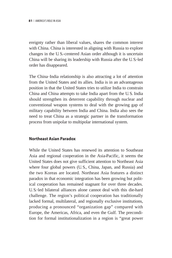ereignty rather than liberal values, shares the common interest with China. China is interested in aligning with Russia to explore changes in the U. S.-centered Asian order although it is uncertain China will be sharing its leadership with Russia after the U. S.-led order has disappeared.

The China–India relationship is also attracting a lot of attention from the United States and its allies. India is in an advantageous position in that the United States tries to utilize India to constrain China and China attempts to take India apart from the U. S. India should strengthen its deterrent capability through nuclear and conventional weapon systems to deal with the growing gap of military capability between India and China. India also sees the need to treat China as a strategic partner in the transformation process from unipolar to multipolar international system.

### **Northeast Asian Paradox**

While the United States has renewed its attention to Southeast Asia and regional cooperation in the Asia-Pacific, it seems the United States does not give sufficient attention to Northeast Asia where four global powers (U.S., China, Japan, and Russia) and the two Koreas are located. Northeast Asia features a distinct paradox in that economic integration has been growing but political cooperation has remained stagnant for over three decades. U. S.-led bilateral alliances alone cannot deal with this die-hard challenge. The region's political cooperation has traditionally lacked formal, multilateral, and regionally exclusive institutions, producing a pronounced "organization gap" compared with Europe, the Americas, Africa, and even the Gulf. The precondition for formal institutionalization in a region is "great power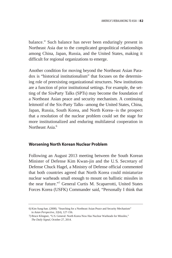balance." Such balance has never been enduringly present in Northeast Asia due to the complicated geopolitical relationships among China, Japan, Russia, and the United States, making it difficult for regional organizations to emerge.

Another condition for moving beyond the Northeast Asian Paradox is "historical institutionalism" that focuses on the determining role of preexisting organizational structures. New institutions are a function of prior institutional settings. For example, the setting of the Six-Party Talks (SPTs) may become the foundation of a Northeast Asian peace and security mechanism. A continuing leitmotif of the Six-Party Talks—among the United States, China, Japan, Russia, South Korea, and North Korea─is the prospect that a resolution of the nuclear problem could set the stage for more institutionalized and enduring multilateral cooperation in Northeast Asia.<sup>6</sup>

#### **Worsening North Korean Nuclear Problem**

Following an August 2013 meeting between the South Korean Minister of Defense Kim Kwan-jin and the U. S. Secretary of Defense Chuck Hagel, a Ministry of Defense official commented that both countries agreed that North Korea could miniaturize nuclear warheads small enough to mount on ballistic missiles in the near future."7 General Curtis M. Scaparrotti, United States Forces Korea (USFK) Commander said, "Personally I think that

<sup>6)</sup> Kim Sung-han. (2008). "Searching for a Northeast Asian Peace and Security Mechanism" in *Asian Perspective*, 32(4), 127–156.

<sup>7)</sup> Bruce Klingner, "U. S. General: North Korea Now Has Nuclear Warheads for Missiles," *The Daily Signal*, October 27, 2014.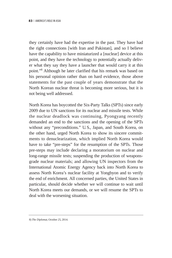they certainly have had the expertise in the past. They have had the right connections [with Iran and Pakistan], and so I believe have the capability to have miniaturized a [nuclear] device at this point, and they have the technology to potentially actually deliver what they say they have a launcher that would carry it at this point."8 Although he later clarified that his remark was based on his personal opinion rather than on hard evidence, those above statements for the past couple of years demonstrate that the North Korean nuclear threat is becoming more serious, but it is not being well addressed.

North Korea has boycotted the Six-Party Talks (SPTs) since early 2009 due to UN sanctions for its nuclear and missile tests. While the nuclear deadlock was continuing, Pyongyang recently demanded an end to the sanctions and the opening of the SPTs without any "preconditions." U.S., Japan, and South Korea, on the other hand, urged North Korea to show its sincere commitments to denuclearization, which implied North Korea would have to take "pre-steps" for the resumption of the SPTs. Those pre-steps may include declaring a moratorium on nuclear and long-range missile tests; suspending the production of weaponsgrade nuclear materials; and allowing UN inspectors from the International Atomic Energy Agency back into North Korea to assess North Korea's nuclear facility at Yongbyon and to verify the end of enrichment. All concerned parties, the United States in particular, should decide whether we will continue to wait until North Korea meets our demands, or we will resume the SPTs to deal with the worsening situation.

<sup>8)</sup> *The Diplomat,* October 25, 2014.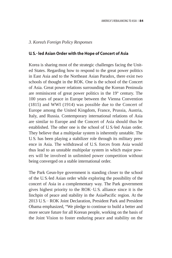#### *3. Korea's Foreign Policy Responses*

### **U. S.- led Asian Order with the Hope of Concert of Asia**

Korea is sharing most of the strategic challenges facing the United States. Regarding how to respond to the great power politics in East Asia and to the Northeast Asian Paradox, there exist two schools of thought in the ROK. One is the school of the Concert of Asia. Great power relations surrounding the Korean Peninsula are reminiscent of great power politics in the  $19<sup>th</sup>$  century. The 100 years of peace in Europe between the Vienna Convention (1815) and WWI (1914) was possible due to the Concert of Europe among the United Kingdom, France, Prussia, Austria, Italy, and Russia. Contemporary international relations of Asia are similar to Europe and the Concert of Asia should thus be established. The other one is the school of U. S.-led Asian order. They believe that a multipolar system is inherently unstable. The U. S. has been playing a stabilizer role through its military presence in Asia. The withdrawal of U. S. forces from Asia would thus lead to an unstable multipolar system in which major powers will be involved in unlimited power competition without being converged on a stable international order.

The Park Geun-hye government is standing closer to the school of the U. S.-led Asian order while exploring the possibility of the concert of Asia in a complementary way. The Park government gives highest priority to the ROK–U. S. alliance since it is the linchpin of peace and stability in the Asia-Pacific region. At the 2013 U. S.–ROK Joint Declaration, President Park and President Obama emphasized, "We pledge to continue to build a better and more secure future for all Korean people, working on the basis of the Joint Vision to foster enduring peace and stability on the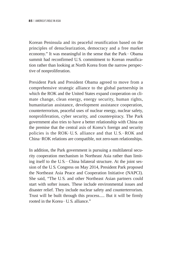Korean Peninsula and its peaceful reunification based on the principles of denuclearization, democracy and a free market economy." It was meaningful in the sense that the Park–Obama summit had reconfirmed U. S. commitment to Korean reunification rather than looking at North Korea from the narrow perspective of nonproliferation.

President Park and President Obama agreed to move from a comprehensive strategic alliance to the global partnership in which the ROK and the United States expand cooperation on climate change, clean energy, energy security, human rights, humanitarian assistance, development assistance cooperation, counterterrorism, peaceful uses of nuclear energy, nuclear safety, nonproliferation, cyber security, and counter-piracy. The Park government also tries to have a better relationship with China on the premise that the central axis of Korea's foreign and security policies is the ROK–U. S. alliance and that U. S.–ROK and China–ROK relations are compatible, not zero-sum relationships.

In addition, the Park government is pursuing a multilateral security cooperation mechanism in Northeast Asia rather than limiting itself to the U. S.–China bilateral structure. At the joint session of the U. S. Congress on May 2014, President Park proposed the Northeast Asia Peace and Cooperation Initiative (NAPCI). She said, "The U. S. and other Northeast Asian partners could start with softer issues. These include environmental issues and disaster relief. They include nuclear safety and counterterrorism. Trust will be built through this process..... But it will be firmly rooted in the Korea–U. S. alliance."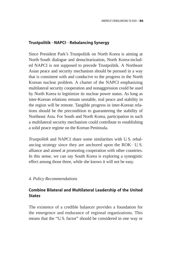### **Trustpolitik**—**NAPCI**—**Rebalancing Synergy**

Since President Park's Trustpolitik on North Korea is aiming at North–South dialogue and denuclearization, North Korea-included NAPCI is not supposed to precede Trustpolitik. A Northeast Asian peace and security mechanism should be pursued in a way that is consistent with and conducive to the progress in the North Korean nuclear problem. A charter of the NAPCI emphasizing multilateral security cooperation and nonaggression could be used by North Korea to legitimize its nuclear power status. As long as inter-Korean relations remain unstable, real peace and stability in the region will be remote. Tangible progress in inter-Korean relations should be the precondition to guaranteeing the stability of Northeast Asia. For South and North Korea, participation in such a multilateral security mechanism could contribute to establishing a solid peace regime on the Korean Peninsula.

*Trustpolitik* and NAPCI share some similarities with U. S. rebalancing strategy since they are anchored upon the ROK–U. S. alliance and aimed at promoting cooperation with other countries. In this sense, we can say South Korea is exploring a synergistic effect among those three, while she knows it will not be easy.

### *4. Policy Recommendations*

# **Combine Bilateral and Multilateral Leadership of the United States**

The existence of a credible balancer provides a foundation for the emergence and endurance of regional organizations. This means that the "U. S. factor" should be considered in one way or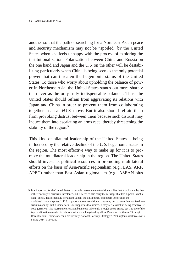another so that the path of searching for a Northeast Asian peace and security mechanism may not be "spoiled" by the United States when she feels unhappy with the process of exploring the institutionalization. Polarization between China and Russia on the one hand and Japan and the U. S. on the other will be destabilizing particularly when China is being seen as the only potential power that can threaten the hegemonic status of the United States. To those who worry about upholding the balance of power in Northeast Asia, the United States stands out more sharply than ever as the only truly indispensable balancer. Thus, the United States should refrain from aggravating its relations with Japan and China in order to prevent them from collaborating together in an anti-U. S. move. But it also should refrain them from provoking distrust between them because such distrust may induce them into escalating an arms race, thereby threatening the stability of the region.<sup>9</sup>

This kind of bilateral leadership of the United States is being influenced by the relative decline of the U. S. hegemonic status in the region. The most effective way to make up for it is to promote the multilateral leadership in the region. The United States should invest its political resources in promoting multilateral efforts on the basis of Asia-Pacific regionalism (e.g., EAS, ARF, APEC) rather than East Asian regionalism (e. g., ASEAN plus

9) It is important for the United States to provide reassurance to traditional allies that it will stand by them if their security is seriously threatened, but it needs to also carry the message that this support is not a blank check. This especially pertains to Japan, the Philippines, and others involved in the maritime/islands disputes. If U.S. support is too unconditional, they may get too assertive and feed into crisis instability. But if China sees U. S. support as too limited, it may see less risk in being assertive, if not aggressive. This reassurance/restraint balance is inherently a tough one to strike, but it is one of the key recalibrations needed in relations with some longstanding allies. Bruce W. Jentleson, "Strategic Recalibration: Framework for a 21<sup>st</sup> Century National Security Strategy," *Washington Quarterly, 37(1),* Spring 2014, 115-136.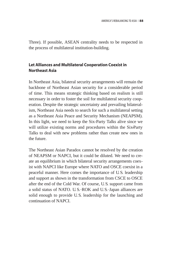Three). If possible, ASEAN centrality needs to be respected in the process of multilateral institution-building.

# **Let Alliances and Multilateral Cooperation Coexist in Northeast Asia**

In Northeast Asia, bilateral security arrangements will remain the backbone of Northeast Asian security for a considerable period of time. This means strategic thinking based on realism is still necessary in order to foster the soil for multilateral security cooperation. Despite the strategic uncertainty and prevailing bilateralism, Northeast Asia needs to search for such a multilateral setting as a Northeast Asia Peace and Security Mechanism (NEAPSM). In this light, we need to keep the Six-Party Talks alive since we will utilize existing norms and procedures within the Six-Party Talks to deal with new problems rather than create new ones in the future.

The Northeast Asian Paradox cannot be resolved by the creation of NEAPSM or NAPCI, but it could be diluted. We need to create an equilibrium in which bilateral security arrangements coexist with NAPCI like Europe where NATO and OSCE coexist in a peaceful manner. Here comes the importance of U. S. leadership and support as shown in the transformation from CSCE to OSCE after the end of the Cold War. Of course, U. S. support came from a solid status of NATO. U. S.–ROK and U. S.–Japan alliances are solid enough to provide U. S. leadership for the launching and continuation of NAPCI.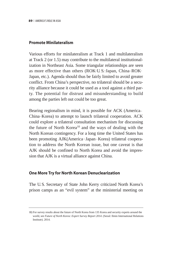### **Promote Minilateralism**

Various efforts for minilateralism at Track 1 and multilateralism at Track 2 (or 1.5) may contribute to the multilateral institutionalization in Northeast Asia. Some triangular relationships are seen as more effective than others (ROK-U.S.-Japan, China-ROK-Japan, etc.). Agenda should thus be fairly limited to avoid greater conflict. From China's perspective, no trilateral should be a security alliance because it could be used as a tool against a third party. The potential for distrust and misunderstanding to build among the parties left out could be too great.

Bearing regionalism in mind, it is possible for ACK (America– China–Korea) to attempt to launch trilateral cooperation. ACK could explore a trilateral consultation mechanism for discussing the future of North Korea<sup>10</sup> and the ways of dealing with the North Korean contingency. For a long time the United States has been promoting AJK(America-Japan-Korea) trilateral cooperation to address the North Korean issue, but one caveat is that AJK should be confined to North Korea and avoid the impression that AJK is a virtual alliance against China.

### **One More Try for North Korean Denuclearization**

The U. S. Secretary of State John Kerry criticized North Korea's prison camps as an "evil system" at the ministerial meeting on

<sup>10)</sup> For survey results about the future of North Korea from 135 Korea and security experts around the world, see *Future of North Korea: Expert Survey Report 2014.* (Seoul: Ilmin International Relations Institute). 2014.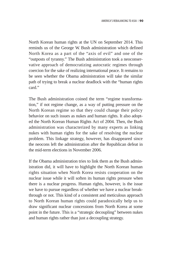North Korean human rights at the UN on September 2014. This reminds us of the George W. Bush administration which defined North Korea as a part of the "axis of evil" and one of the "outposts of tyranny." The Bush administration took a neoconservative approach of democratizing autocratic regimes through coercion for the sake of realizing international peace. It remains to be seen whether the Obama administration will take the similar path of trying to break a nuclear deadlock with the "human rights card"

The Bush administration coined the term "regime transformation," if not regime change, as a way of putting pressure on the North Korean regime so that they could change their policy behavior on such issues as nukes and human rights. It also adopted the North Korean Human Rights Act of 2004. Then, the Bush administration was characterized by many experts as linking nukes with human rights for the sake of resolving the nuclear problem. This linkage strategy, however, has disappeared since the neocons left the administration after the Republican defeat in the mid-term elections in November 2006.

If the Obama administration tries to link them as the Bush administration did, it will have to highlight the North Korean human rights situation when North Korea resists cooperation on the nuclear issue while it will soften its human rights pressure when there is a nuclear progress. Human rights, however, is the issue we have to pursue regardless of whether we have a nuclear breakthrough or not. This kind of a consistent and meticulous approach to North Korean human rights could paradoxically help us to draw significant nuclear concessions from North Korea at some point in the future. This is a "strategic decoupling" between nukes and human rights rather than just a decoupling strategy.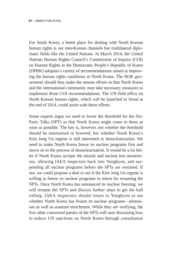For South Korea, a better place for dealing with North Korean human rights is not inter-Korean channels but multilateral diplomatic fields like the United Nations. In March 2014, the United Nations Human Rights Council's Commission of Inquiry (COI) on Human Rights in the Democratic People's Republic of Korea (DPRK) adopted a variety of recommendations aimed at improving the human rights conditions in North Korea. The ROK government should thus make the utmost efforts so that North Korea and the international community may take necessary measures to implement those COI recommendations. The UN field office on North Korean human rights, which will be launched in Seoul at the end of 2014, could assist with these efforts.

Some experts argue we need to lower the threshold for the Six-Party Talks (SPT) so that North Korea might come to them as soon as possible. The key is, however, not whether the threshold should be maintained or lowered, but whether North Korea's Kim Jong Un regime is still interested in denuclearization. We need to make North Korea freeze its nuclear programs first and move on to the process of denuclearization. It would be a lot better if North Korea accepts the missile and nuclear test moratorium, allowing IAEA inspectors back into Yongbyon, and suspending all nuclear programs before the SPTs are resumed. If not, we could propose a deal to see if the Kim Jong Un regime is willing to freeze its nuclear programs in return for resuming the SPTs. Once North Korea has announced its nuclear freezing, we will resume the SPTs and discuss further steps to get the ball rolling. IAEA inspectors should return to Yongbyon to see whether North Korea has frozen its nuclear programs—plutonium as well as uranium enrichment. While they are verifying, the five other concerned parties of the SPTs will start discussing how to reduce UN sanctions on North Korea through consultation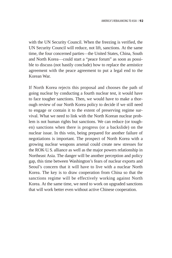with the UN Security Council. When the freezing is verified, the UN Security Council will reduce, not lift, sanctions. At the same time, the four concerned parties—the United States, China, South and North Korea─could start a "peace forum" as soon as possible to discuss (not hastily conclude) how to replace the armistice agreement with the peace agreement to put a legal end to the Korean War.

If North Korea rejects this proposal and chooses the path of going nuclear by conducting a fourth nuclear test, it would have to face tougher sanctions. Then, we would have to make a thorough review of our North Korea policy to decide if we still need to engage or contain it to the extent of preserving regime survival. What we need to link with the North Korean nuclear problem is not human rights but sanctions. We can reduce (or toughen) sanctions when there is progress (or a backslide) on the nuclear issue. In this vein, being prepared for another failure of negotiations is important. The prospect of North Korea with a growing nuclear weapons arsenal could create new stresses for the ROK–U. S. alliance as well as the major powers relationship in Northeast Asia. The danger will be another perception and policy gap, this time between Washington's fears of nuclear exports and Seoul's concern that it will have to live with a nuclear North Korea. The key is to draw cooperation from China so that the sanctions regime will be effectively working against North Korea. At the same time, we need to work on upgraded sanctions that will work better even without active Chinese cooperation.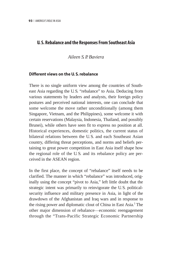# **U. S. Rebalance and the Responses From Southeast Asia**

### *Aileen S. P. Baviera*

### **Different views on the U. S. rebalance**

There is no single uniform view among the countries of Southeast Asia regarding the U. S. "rebalance" to Asia. Deducing from various statements by leaders and analysts, their foreign policy postures and perceived national interests, one can conclude that some welcome the move rather unconditionally (among them Singapore, Vietnam, and the Philippines), some welcome it with certain reservations (Malaysia, Indonesia, Thailand, and possibly Brunei), while others have seen fit to express no position at all. Historical experiences, domestic politics, the current status of bilateral relations between the U. S. and each Southeast Asian country, differing threat perceptions, and norms and beliefs pertaining to great power competition in East Asia itself shape how the regional role of the U. S. and its rebalance policy are perceived in the ASEAN region.

In the first place, the concept of "rebalance" itself needs to be clarified. The manner in which "rebalance" was introduced, originally using the concept "pivot to Asia," left little doubt that the strategic intent was primarily to reinvigorate the U. S. politicalsecurity influence and military presence in Asia, in light of the drawdown of the Afghanistan and Iraq wars and in response to the rising power and diplomatic clout of China in East Asia.<sup>1</sup> The other major dimension of rebalance─economic reengagement through the "Trans-Pacific Strategic Economic Partnership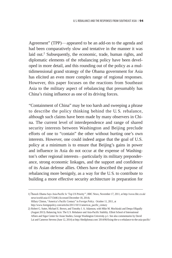Agreement" (TPP)—appeared to be an add-on to the agenda and had been comparatively slow and tentative in the manner it was laid out.<sup>2</sup> Subsequently, the economic, trade, human rights, and diplomatic elements of the rebalancing policy have been developed in more detail, and this rounding out of the policy as a multidimensional grand strategy of the Obama government for Asia has elicited an even more complex range of regional responses. However, this paper focuses on the reactions from Southeast Asia to the military aspect of rebalancing that presumably has China's rising influence as one of its driving forces.

"Containment of China" may be too harsh and sweeping a phrase to describe the policy thinking behind the U. S. rebalance, although such claims have been made by many observers in China. The current level of interdependence and range of shared security interests between Washington and Beijing preclude efforts of one to "contain" the other without hurting one's own interests. However, one could indeed argue that the goal of U.S. policy at a minimum is to ensure that Beijing's gains in power and influence in Asia do not occur at the expense of Washington's other regional interests—particularly its military preponderance, strong economic linkages, and the support and confidence of its Asian defense allies. Others have described the purpose of rebalancing more benignly, as a way for the U. S. to contribute to building a more effective security architecture in preparation for

<sup>1) &#</sup>x27;Barack Obama Says Asia-Pacific Is 'Top US Priority'", BBC News, November 17, 2011, at http://www.bbc.co.uk/ news/world-asia-15715446 (Accessed December 18, 2014). Hillary Clinton, "America's Pacific Century" in *Foreign Policy*. October 11, 2011, at

http://www.foreignpolicy.com/articles/2011/10/11/americas\_pacific\_century

<sup>2)</sup> Robert G. Sutter, Michael E. Brown, and Timothy J. A. Adamson, with Mike M. Mochizuki and Deepa Ollapally (August 2013). Balancing Acts: The U.S. Rebalance and Asia-Pacific Stability. Elliott School of International Affairs and Sigur Center for Asian Studies, George Washington University. p.1. See also commentaries by David Lai and Cameron Stevens (June 12, 2014) at http://thediplomat.com/ 2014/06/fixing-the-u-s-rebalance-to-the-asia-pacific/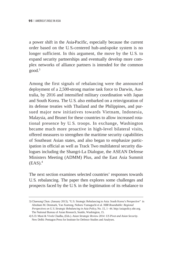a power shift in the Asia-Pacific, especially because the current order based on the U. S.-centered hub-and-spoke system is no longer sufficient. In this argument, the move by the U. S. to expand security partnerships and eventually develop more complex networks of alliance partners is intended for the common good.3

Among the first signals of rebalancing were the announced deployment of a 2,500-strong marine task force to Darwin, Australia, by 2016 and intensified military coordination with Japan and South Korea. The U. S. also embarked on a reinvigoration of its defense treaties with Thailand and the Philippines, and pursued major new initiatives towards Vietnam, Indonesia, Malaysia, and Brunei for these countries to allow increased rotational presence by U. S. troops. In exchange, Washington became much more proactive in high-level bilateral visits, offered measures to strengthen the maritime security capabilities of Southeast Asian states, and also began to emphasize participation in official as well as Track Two multilateral security dialogues including the Shangri-La Dialogue, the ASEAN Defense Ministers Meeting (ADMM) Plus, and the East Asia Summit  $(EAS)<sup>4</sup>$ 

The next section examines selected countries' responses towards U. S. rebalancing. The paper then explores some challenges and prospects faced by the U. S. in the legitimation of its rebalance to

<sup>3)</sup> Chaesung Chun. (January 2013)*,* "U.S. Strategic Rebalancing to Asia: South Korea's Perspective" in Abraham M. Denmark, Yan Xuetong, Noboru Yamaguchi et al. *NBR Roundtable: Regional*  Perspectives on U. S. Strategic Rebalancing in Asia Policy, No. 15, 1-44. http://asiapolicy.nbr.org. The National Bureau of Asian Research, Seattle, Washington, 15.

<sup>4)</sup> S. D. Muni & Vivek Chadha, (Eds.). *Asian Strategic Review 2014: US Pivot and Asian Security*. New Delhi: Pentagon Press for Institute for Defence Studies and Analyses.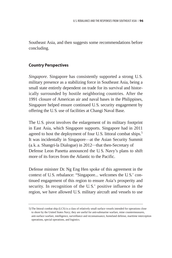Southeast Asia, and then suggests some recommendations before concluding.

### **Country Perspectives**

*Singapore*. Singapore has consistently supported a strong U.S. military presence as a stabilizing force in Southeast Asia, being a small state entirely dependent on trade for its survival and historically surrounded by hostile neighboring countries. After the 1991 closure of American air and naval bases in the Philippines, Singapore helped ensure continued U. S. security engagement by offering the U. S. use of facilities at Changi Naval Base.

The U.S. pivot involves the enlargement of its military footprint in East Asia, which Singapore supports. Singapore had in 2011 agreed to host the deployment of four U.S. littoral combat ships.<sup>5</sup> It was incidentally in Singapore—at the Asian Security Summit (a.k. a. Shangri-la Dialogue) in 2012─that then-Secretary of Defense Leon Panetta announced the U. S. Navy's plans to shift more of its forces from the Atlantic to the Pacific.

Defense minister Dr. Ng Eng Hen spoke of this agreement in the context of U.S. rebalance: "Singapore... welcomes the U. S.' continued engagement of this region to ensure Asia's prosperity and security. In recognition of the U. S.' positive influence in the region, we have allowed U. S. military aircraft and vessels to use

<sup>5)</sup> The littoral combat ship (LCS) is a class of relatively small surface vessels intended for operations close to shore by the United States Navy; they are useful for anti-submarine warfare, mine countermeasures, anti-surface warfare, intelligence, surveillance and reconnaissance, homeland defense, maritime interception operations, special operations, and logistics.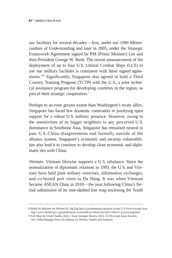our facilities for several decades—first, under our 1990 Memorandum of Understanding and later in 2005, under the Strategic Framework Agreement signed by PM (Prime Minister) Lee and then-President George W. Bush. The recent announcement of the deployment of up to four U. S. Littoral Combat Ships (LCS) to use our military facilities is consistent with these signed agreements."6 Significantly, Singapore also agreed to hold a Third Country Training Program (TCTP) with the U. S., a joint technical assistance program for developing countries in the region, as part of their strategic cooperation.7

Perhaps to an even greater extent than Washington's treaty allies, Singapore has faced few domestic constraints in justifying open support for a robust U.S. military presence. However, owing to the sensitivities of its bigger neighbors to any perceived U. S. dominance in Southeast Asia, Singapore has remained neutral in past U.S.-China disagreements and formally outside of the alliance system. Singapore's economic and security vulnerabilities also lead it to continue to develop close economic and diplomatic ties with China.

*Vietnam.* Vietnam likewise supports a U. S. rebalance. Since the normalization of diplomatic relations in 1995, the U. S. and Vietnam have held joint military exercises, information exchanges, and co-hosted port visits to Da Nang. It was when Vietnam became ASEAN Chair in 2010—the year following China's formal submission of its nine-dashed line map enclosing the South

<sup>6)</sup> Reply by Minister for Defense Dr. Ng Eng Hen to parliamentary question on the U. S. Pivot towards Asia. http://www.mindef.gov. sg/imindef/press room/official releases/ps/2012/16oct12 ps.print.img.html

<sup>7)</sup> S.D. Muni & Vivek Chadha, (Eds.). Asian Strategic Review 2014: US Pivot and Asian Security. New Delhi:Pentagon Press for Institute for Defence Studies and Analyses.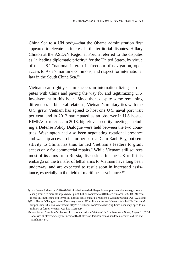China Sea to a UN body─that the Obama administration first appeared to elevate its interest in the territorial disputes. Hillary Clinton at the ASEAN Regional Forum referred to the disputes as "a leading diplomatic priority" for the United States, by virtue of the U. S.' "national interest in freedom of navigation, open access to Asia's maritime commons, and respect for international law in the South China Sea."8

Vietnam can rightly claim success in internationalizing its disputes with China and paving the way for and legitimizing U. S. involvement in this issue. Since then, despite some remaining differences in bilateral relations, Vietnam's military ties with the U. S. grew. Vietnam has agreed to host one U. S. naval port visit per year, and in 2012 participated as an observer in U. S.-hosted RIMPAC exercises. In 2013, high-level security meetings including a Defense Policy Dialogue were held between the two countries. Washington had also been negotiating rotational presence and warship access to its former base at Cam Ranh Bay, but sensitivity to China has thus far led Vietnam's leaders to grant access only for commercial repairs.9 While Vietnam still sources most of its arms from Russia, discussions for the U. S. to lift its embargo on the transfer of lethal arms to Vietnam have long been underway, and are expected to result soon in increased assistance, especially in the field of maritime surveillance.<sup>10</sup>

<sup>8)</sup> http://www.forbes.com/2010/07/28/china-beijing-asia-hillary-clinton-opinions-columnists-gordon-gchang.html. See more at: http://www.2point6billion.com/news/2010/07/27/clinton%E2%80%99s-com ments-on-south-china-sea-territorial-dispute-press-china-u-s-relations-6528.html#sthash. Jws49Zl6.dpuf

<sup>9)</sup> Erik Slavin, "Changing times: Door may open to US military at former Vietnam War hub" in *Stars and Stripes*. June 18, 2014. Accessed at http://www.stripes.com/news/changing-times-door-may-open-to-usmilitary-at-former-vietnam-war-hub-1.289509

<sup>10)</sup> Jane Perlez, "In China's Shadow, U. S. Courts Old Foe Vietnam" in *The New York Times*, August 16, 2014. Accessed at http://www.nytimes.com/2014/08/17/world/asia/in-chinas-shadow-us-courts-old-foe-viet nam.html?\_r=0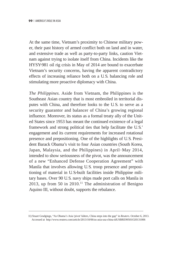At the same time, Vietnam's proximity to Chinese military power, their past history of armed conflict both on land and in water, and extensive trade as well as party-to-party links, caution Vietnam against trying to isolate itself from China. Incidents like the HYSY-981 oil rig crisis in May of 2014 are bound to exacerbate Vietnam's security concerns, having the apparent contradictory effects of increasing reliance both on a U. S. balancing role and stimulating more proactive diplomacy with China.

*The Philippines.* Aside from Vietnam, the Philippines is the Southeast Asian country that is most embroiled in territorial disputes with China, and therefore looks to the U. S. to serve as a security guarantor and balancer of China's growing regional influence. Moreover, its status as a formal treaty ally of the United States since 1953 has meant the continued existence of a legal framework and strong political ties that help facilitate the U. S.' engagement and its current requirements for increased rotational presence and prepositioning. One of the highlights of U. S. President Barack Obama's visit to four Asian countries (South Korea, Japan, Malaysia, and the Philippines) in April–May 2014, intended to show seriousness of the pivot, was the announcement of a new "Enhanced Defense Cooperation Agreement" with Manila that involves allowing U. S. troop presence and prepositioning of material in U. S.-built facilities inside Philippine military bases. Over 90 U. S. navy ships made port calls on Manila in 2013, up from 50 in  $2010$ .<sup>11</sup> The administration of Benigno Aquino III, without doubt, supports the rebalance.

<sup>11)</sup> Stuart Grudgings, "As Obama's Asia 'pivot' falters, China steps into the gap" in *Reuters*. October 6, 2013. Accessed at http://www.reuters.com/article/2013/10/06/us-asia-usa-china-idUSBRE99501O20131006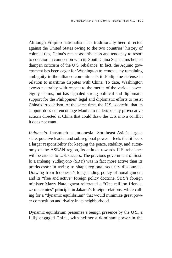Although Filipino nationalism has traditionally been directed against the United States owing to the two countries' history of colonial ties, China's recent assertiveness and tendency to resort to coercion in connection with its South China Sea claims helped dampen criticism of the U. S. rebalance. In fact, the Aquino government has been eager for Washington to remove any remaining ambiguity in the alliance commitments to Philippine defense in relation to maritime disputes with China. To date, Washington avows neutrality with respect to the merits of the various sovereignty claims, but has signaled strong political and diplomatic support for the Philippines' legal and diplomatic efforts to resist China's irredentism. At the same time, the U. S. is careful that its support does not encourage Manila to undertake any provocative actions directed at China that could draw the U. S. into a conflict it does not want.

*Indonesia.* Inasmuch as Indonesia─Southeast Asia's largest state, putative leader, and sub-regional power—feels that it bears a larger responsibility for keeping the peace, stability, and autonomy of the ASEAN region, its attitude towards U. S. rebalance will be crucial to U.S. success. The previous government of Susilo Bambang Yudhoyono (SBY) was in fact more active than its predecessor in trying to shape regional security discourses. Drawing from Indonesia's longstanding policy of nonalignment and its "free and active" foreign policy doctrine, SBY's foreign minister Marty Natalegawa reiterated a "One million friends, zero enemies" principle in Jakarta's foreign relations, while calling for a "dynamic equilibrium" that would minimize great power competition and rivalry in its neighborhood.

Dynamic equilibrium presumes a benign presence by the U. S., a fully engaged China, with neither a dominant power in the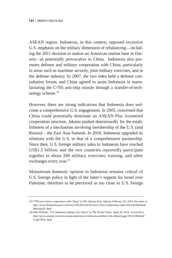ASEAN region. Indonesia, in this context, opposed excessive U.S. emphasis on the military dimension of rebalancing—including the 2011 decision to station an American marine base in Darwin—as potentially provocative to China. Indonesia also promotes defense and military cooperation with China, particularly in areas such as maritime security, joint military exercises, and in the defense industry. In 2007, the two sides held a defense consultation forum, and China agreed to assist Indonesia in manufacturing the C-705 anti-ship missile through a transfer-of-technology scheme.12

However, there are strong indications that Indonesia does welcome a comprehensive U. S. engagement. In 2005, concerned that China could potentially dominate an ASEAN Plus 3-centered cooperation structure, Jakarta pushed determinedly for the establishment of a mechanism involving membership of the U. S. (and Russia)—the East Asia Summit. In 2010, Indonesia upgraded its relations with the U. S. to that of a comprehensive partnership. Since then, U. S. foreign military sales to Indonesia have reached US\$1.5 billion, and the two countries reportedly participate together in about 200 military exercises, training, and other exchanges every year.<sup>13</sup>

Mainstream domestic opinion in Indonesia remains critical of U.S. foreign policy in light of the latter's support for Israel over Palestine; therefore to be perceived as too close to U. S. foreign

<sup>12) &</sup>quot;TNI eyes closer cooperation with China" in *The Jakarta Post*, Jakarta. February 26, 2014. See more at http://www.thejakarta.post.com/news/2014/02/26/tni-eyes-closer-cooperation-with-china.html#sthash. MswhjytH. dpuf

<sup>13)</sup> John McBeth. "US\_Indonesia military ties robust" in *The Straits Times*. April 20, 2014. Accessed at http://news.asiaone.com/news/asian-opinions/us-indonesia-military-ties-robust?page=0%2C0#sthash. G2go7Ho6. dpuf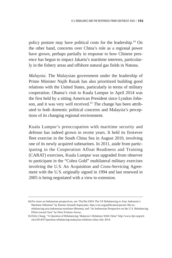policy posture may have political costs for the leadership.14 On the other hand, concerns over China's role as a regional power have grown, perhaps partially in response to how Chinese presence has begun to impact Jakarta's maritime interests, particularly in the fishery areas and offshore natural gas fields in Natuna.

*Malaysia.* The Malaysian government under the leadership of Prime Minister Najib Razak has also prioritized building good relations with the United States, particularly in terms of military cooperation. Obama's visit to Kuala Lumpur in April 2014 was the first held by a sitting American President since Lyndon Johnson, and it was very well received.<sup>15</sup> The change has been attributed to both domestic political concerns and Malaysia's perceptions of its changing regional environment.

Kuala Lumpur's preoccupation with maritime security and defense has indeed grown in recent years. It held its first-ever fleet exercise in the South China Sea in August 2010, involving one of its newly acquired submarines. In 2011, aside from participating in the Cooperation Afloat Readiness and Training (CARAT) exercises, Kuala Lumpur was upgraded from observer to participant in the "Cobra Gold" multilateral military exercises involving the U. S. An Acquisition and Cross-Servicing Agreement with the U. S. originally signed in 1994 and last renewed in 2005 is being negotiated with a view to extension.

<sup>14)</sup> For more on Indonesian perspectives, see "PacNet #30A The US Rebalancing to Asia: Indonesia's Maritime Dilemma" by Ristian Atriandi Supriyanto. http://csis.org/publication/pacnet-30a-usrebalancing-asia-indonesias-maritime-dilemma; and "An Indonesian Perspective on the U. S. Rebalancing Effort toward Asia" by Dewi Fortuna Anwar.

<sup>15)</sup> Felix Chang. "A Question of Rebalancing: Malaysia's Relations With China" http://www.fpri.org/arti cles/2014/07/question-rebalancing-malaysias-relations-china July 2014.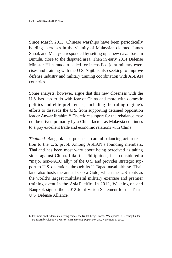Since March 2013, Chinese warships have been periodically holding exercises in the vicinity of Malaysian-claimed James Shoal, and Malaysia responded by setting up a new naval base in Bintulu, close to the disputed area. Then in early 2014 Defense Minister Hishamuddin called for intensified joint military exercises and training with the U. S. Najib is also seeking to improve defense industry and military training coordination with ASEAN countries.

Some analysts, however, argue that this new closeness with the U. S. has less to do with fear of China and more with domestic politics and elite preferences, including the ruling regime's efforts to dissuade the U. S. from supporting detained opposition leader Anwar Ibrahim.<sup>16</sup> Therefore support for the rebalance may not be driven primarily by a China factor, as Malaysia continues to enjoy excellent trade and economic relations with China.

*Thailand.* Bangkok also pursues a careful balancing act in reaction to the U. S. pivot. Among ASEAN's founding members, Thailand has been most wary about being perceived as taking sides against China. Like the Philippines, it is considered a "major non-NATO ally" of the U. S. and provides strategic support to U. S. operations through its U-Tapao naval airbase. Thailand also hosts the annual Cobra Gold, which the U. S. touts as the world's largest multilateral military exercise and premier training event in the Asia-Pacific. In 2012, Washington and Bangkok signed the "2012 Joint Vision Statement for the Thai– U. S. Defense Alliance."

<sup>16)</sup> For more on the domestic driving forces, see Kuik Cheng-Chwee. "Malaysia's U. S. Policy Under Najib:Ambivalence No More?" *RSIS Working Paper,* No. 250. November 5, 2012.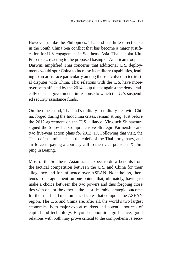However, unlike the Philippines, Thailand has little direct stake in the South China Sea conflict that has become a major justification for U. S. engagement in Southeast Asia. Thai scholar Kitti Prasertsuk, reacting to the proposed basing of American troops in Darwin, amplified Thai concerns that additional U. S. deployments would spur China to increase its military capabilities, leading to an arms race particularly among those involved in territorial disputes with China. Thai relations with the U. S. have moreover been affected by the 2014 coup d'etat against the democratically elected government, in response to which the U. S. suspended security assistance funds.

On the other hand, Thailand's military-to-military ties with China, forged during the Indochina crises, remain strong. Just before the 2012 agreement on the U. S. alliance, Yingluck Shinawatra signed the Sino–Thai Comprehensive Strategic Partnership and two five-year action plans for 2012–17. Following that visit, the Thai defense minister led the chiefs of the Thai army, navy, and air force in paying a courtesy call to then vice president Xi Jinping in Beijing.

Most of the Southeast Asian states expect to draw benefits from the tactical competition between the U. S. and China for their allegiance and for influence over ASEAN. Nonetheless, there tends to be agreement on one point—that, ultimately, having to make a choice between the two powers and thus forgoing close ties with one or the other is the least desirable strategic outcome for the small-and medium-sized states that comprise the ASEAN region. The U. S. and China are, after all, the world's two largest economies, both major export markets and potential sources of capital and technology. Beyond economic significance, good relations with both may prove critical to the comprehensive secu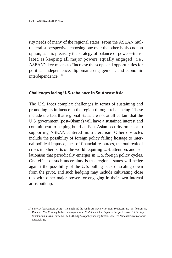rity needs of many of the regional states. From the ASEAN multilateralist perspective, choosing one over the other is also not an option, as it is precisely the strategy of balance of power—translated as keeping all major powers equally engaged—i.e., ASEAN's key means to "increase the scope and opportunities for political independence, diplomatic engagement, and economic interdependence."<sup>17</sup>

### **Challenges facing U. S. rebalance in Southeast Asia**

The U. S. faces complex challenges in terms of sustaining and promoting its influence in the region through rebalancing. These include the fact that regional states are not at all certain that the U. S. government (post-Obama) will have a sustained interest and commitment to helping build an East Asian security order or to supporting ASEAN-centered multilateralism. Other obstacles include the possibility of foreign policy falling hostage to internal political impasse, lack of financial resources, the outbreak of crises in other parts of the world requiring U. S. attention, and isolationism that periodically emerges in U. S. foreign policy cycles. One effect of such uncertainty is that regional states will hedge against the possibility of the U. S. pulling back or scaling down from the pivot, and such hedging may include cultivating close ties with other major powers or engaging in their own internal arms buildup.

<sup>17)</sup> Barry Desker (January 2013). "The Eagle and the Panda: An Owl's View from Southeast Asia" in Abraham M. Denmark, Yan Xuetong, Noboru Yamaguchi et al. *NBR Roundtable: Regional Perspectives on U. S. Strategic Rebalancing in Asia Policy*, No 15, 1\_44. http://asiapolicy.nbr.org. Seattle, WA: The National Bureau of Asian Research, 26.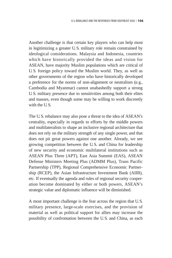Another challenge is that certain key players who can help most in legitimizing a greater U. S. military role remain constrained by ideological considerations. Malaysia and Indonesia, countries which have historically provided the ideas and vision for ASEAN, have majority Muslim populations which are critical of U. S. foreign policy toward the Muslim world. They, as well as other governments of the region who have historically developed a preference for the norms of non-alignment or neutralism (e. g., Cambodia and Myanmar) cannot unabashedly support a strong U. S. military presence due to sensitivities among both their elites and masses, even though some may be willing to work discreetly with the U.S.

The U. S. rebalance may also pose a threat to the idea of ASEAN's centrality, especially in regards to efforts by the middle powers and multilateralists to shape an inclusive regional architecture that does not rely on the military strength of any single power, and that does not pit great powers against one another. Already, we see growing competition between the U. S. and China for leadership of new security and economic multilateral institutions such as ASEAN Plus Three (APT), East Asia Summit (EAS), ASEAN Defense Ministers Meeting Plus (ADMM Plus), Trans Pacific Partnership (TPP), Regional Comprehensive Economic Partnership (RCEP), the Asian Infrastructure Investment Bank (AIIB), etc. If eventually the agenda and rules of regional security cooperation become dominated by either or both powers, ASEAN's strategic value and diplomatic influence will be diminished.

A most important challenge is the fear across the region that U. S. military presence, large-scale exercises, and the provision of material as well as political support for allies may increase the possibility of confrontation between the U. S. and China, as each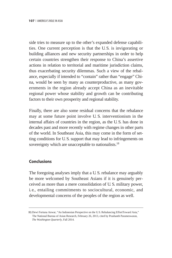side tries to measure up to the other's expanded defense capabilities. One current perception is that the U. S. is invigorating or building alliances and new security partnerships in order to help certain countries strengthen their response to China's assertive actions in relation to territorial and maritime jurisdiction claims, thus exacerbating security dilemmas. Such a view of the rebalance, especially if intended to "contain" rather than "engage" China, would be seen by many as counterproductive, as many governments in the region already accept China as an inevitable regional power whose stability and growth can be contributing factors to their own prosperity and regional stability.

Finally, there are also some residual concerns that the rebalance may at some future point involve U. S. interventionism in the internal affairs of countries in the region, as the U. S. has done in decades past and more recently with regime changes in other parts of the world. In Southeast Asia, this may come in the form of setting conditions for U. S. support that may lead to infringements on sovereignty which are unacceptable to nationalists.<sup>18</sup>

### **Conclusions**

The foregoing analyses imply that a U. S. rebalance may arguably be more welcomed by Southeast Asians if it is genuinely perceived as more than a mere consolidation of U. S. military power, i.e., entailing commitments to sociocultural, economic, and developmental concerns of the peoples of the region as well.

<sup>18)</sup> Dewi Fortuna Anwar, "An Indonesian Perspective on the U.S. Rebalancing EffortToward Asia," The National Bureau of Asian Research, February 26, 2013, cited by Prashanth Parameswaran, *The Washington Quarterly,* Fall 2014.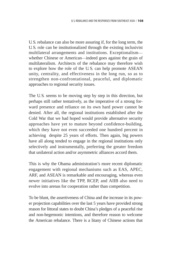U. S. rebalance can also be more assuring if, for the long term, the U. S. role can be institutionalized through the existing inclusivist multilateral arrangements and institutions. Exceptionalism whether Chinese or American—indeed goes against the grain of multilateralism. Architects of the rebalance may therefore wish to explore how the role of the U. S. can help promote ASEAN unity, centrality, and effectiveness in the long run, so as to strengthen non-confrontational, peaceful, and diplomatic approaches to regional security issues.

The U. S. seems to be moving step by step in this direction, but perhaps still rather tentatively, as the imperative of a strong forward presence and reliance on its own hard power cannot be denied. After all, the regional institutions established after the Cold War that we had hoped would provide alternative security approaches have yet to mature beyond confidence-building, which they have not even succeeded one hundred percent in achieving despite 25 years of efforts. Then again, big powers have all along tended to engage in the regional institutions only selectively and instrumentally, preferring the greater freedom that unilateral action and/or asymmetric alliances accord them.

This is why the Obama administration's more recent diplomatic engagement with regional mechanisms such as EAS, APEC, ARF, and ASEAN is remarkable and encouraging, whereas even newer initiatives like the TPP, RCEP, and AIIB also need to evolve into arenas for cooperation rather than competition.

To be blunt, the assertiveness of China and the increase in its power projection capabilities over the last 5 years have provided strong reason for littoral states to doubt China's pledges of a peaceful rise and non-hegemonic intentions, and therefore reason to welcome the American rebalance. There is a litany of Chinese actions that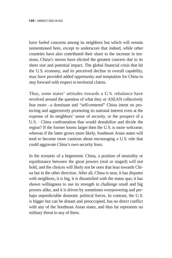have fueled concerns among its neighbors but which will remain unmentioned here, except to underscore that indeed, while other countries have also contributed their share to the increase in tensions, China's moves have elicited the greatest concern due to its sheer size and potential impact. The global financial crisis that hit the U. S. economy, and its perceived decline in overall capability, may have provided added opportunity and temptation for China to step forward with respect to territorial claims.

Thus, some states' attitudes towards a U. S. rebalance have revolved around the question of what they or ASEAN collectively fear more—a dominant and "self-centered" China intent on protecting and aggressively promoting its national interest even at the expense of its neighbors' sense of security, or the prospect of a U. S.–China confrontation that would destabilize and divide the region? If the former looms larger then the U. S. is more welcome; whereas if the latter grows more likely, Southeast Asian states will tend to become more cautious about encouraging a U. S. role that could aggravate China's own security fears.

In the scenario of a hegemonic China, a position of neutrality or equidistance between the great powers (real or staged) will not hold, and the choices will likely not be ones that lean towards China but in the other direction. After all, China is near, it has disputes with neighbors, it is big, it is dissatisfied with the status quo, it has shown willingness to use its strength to challenge small and big powers alike, and it is driven by sometimes overpowering and perhaps unpredictable domestic political forces. In contrast, the U. S. is bigger but can be distant and preoccupied, has no direct conflict with any of the Southeast Asian states, and thus far represents no military threat to any of them.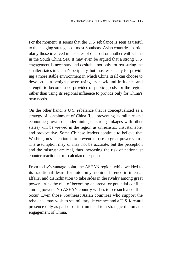For the moment, it seems that the U. S. rebalance is seen as useful to the hedging strategies of most Southeast Asian countries, particularly those involved in disputes of one sort or another with China in the South China Sea. It may even be argued that a strong U. S. engagement is necessary and desirable not only for reassuring the smaller states in China's periphery, but most especially for providing a more stable environment in which China itself can choose to develop as a benign power, using its newfound influence and strength to become a co-provider of public goods for the region rather than using its regional influence to provide only for China's own needs.

On the other hand, a U. S. rebalance that is conceptualized as a strategy of containment of China (i.e., preventing its military and economic growth or undermining its strong linkages with other states) will be viewed in the region as unrealistic, unsustainable, and provocative. Some Chinese leaders continue to believe that Washington's intention is to prevent its rise to great power status. The assumption may or may not be accurate, but the perception and the mistrust are real, thus increasing the risk of nationalist counter-reaction or miscalculated response.

From today's vantage point, the ASEAN region, while wedded to its traditional desire for autonomy, noninterference in internal affairs, and disinclination to take sides in the rivalry among great powers, runs the risk of becoming an arena for potential conflict among powers. No ASEAN country wishes to see such a conflict occur. Even those Southeast Asian countries who support the rebalance may wish to see military deterrence and a U. S. forward presence only as part of or instrumental to a strategic diplomatic engagement of China.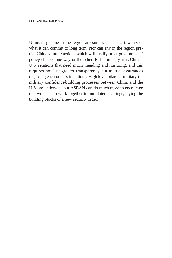Ultimately, none in the region are sure what the U. S. wants or what it can commit to long term. Nor can any in the region predict China's future actions which will justify other governments' policy choices one way or the other. But ultimately, it is China– U. S. relations that need much mending and nurturing, and this requires not just greater transparency but mutual assurances regarding each other's intentions. High-level bilateral military-tomilitary confidence-building processes between China and the U. S. are underway, but ASEAN can do much more to encourage the two sides to work together in multilateral settings, laying the building blocks of a new security order.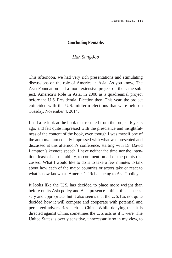## **Concluding Remarks**

## *Han Sung-Joo*

This afternoon, we had very rich presentations and stimulating discussions on the role of America in Asia. As you know, The Asia Foundation had a more extensive project on the same subject, America's Role in Asia, in 2008 as a quadrennial project before the U. S. Presidential Election then. This year, the project coincided with the U. S. midterm elections that were held on Tuesday, November 4, 2014.

I had a re-look at the book that resulted from the project 6 years ago, and felt quite impressed with the prescience and insightfulness of the content of the book, even though I was myself one of the authors. I am equally impressed with what was presented and discussed at this afternoon's conference, starting with Dr. David Lampton's keynote speech. I have neither the time nor the intention, least of all the ability, to comment on all of the points discussed. What I would like to do is to take a few minutes to talk about how each of the major countries or actors take or react to what is now known as America's "Rebalancing to Asia" policy.

It looks like the U.S. has decided to place more weight than before on its Asia policy and Asia presence. I think this is necessary and appropriate, but it also seems that the U. S. has not quite decided how it will compete and cooperate with potential and perceived adversaries such as China. While denying that it is directed against China, sometimes the U. S. acts as if it were. The United States is overly sensitive, unnecessarily so in my view, to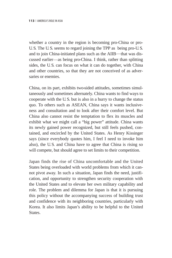whether a country in the region is becoming pro-China or pro-U. S. The U. S. seems to regard joining the TPP as being pro-U. S. and to join China-initiated plans such as the AIIB—that was discussed earlier─as being pro-China. I think, rather than splitting sides, the U.S. can focus on what it can do together, with China and other countries, so that they are not conceived of as adversaries or enemies.

China, on its part, exhibits two-sided attitudes, sometimes simultaneously and sometimes alternately. China wants to find ways to cooperate with the U. S. but is also in a hurry to change the status quo. To others such as ASEAN, China says it wants inclusiveness and consultation and to look after their comfort level. But China also cannot resist the temptation to flex its muscles and exhibit what we might call a "big power" attitude. China wants its newly gained power recognized, but still feels pushed, contained, and encircled by the United States. As Henry Kissinger says (since everybody quotes him, I feel I need to invoke him also), the U. S. and China have to agree that China is rising so will compete, but should agree to set limits to their competition.

Japan finds the rise of China uncomfortable and the United States being overloaded with world problems from which it cannot pivot away. In such a situation, Japan finds the need, justification, and opportunity to strengthen security cooperation with the United States and to elevate her own military capability and role. The problem and dilemma for Japan is that it is pursuing this policy without the accompanying success of building trust and confidence with its neighboring countries, particularly with Korea. It also limits Japan's ability to be helpful to the United **States**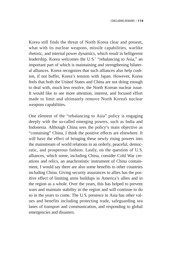Korea still finds the threat of North Korea clear and present, what with its nuclear weapons, missile capabilities, warlike rhetoric, and internal power dynamics, which result in belligerent leadership. Korea welcomes the U. S.' "rebalancing to Asia," an important part of which is maintaining and strengthening bilateral alliances. Korea recognizes that such alliances also help cushion, if not buffer, Korea's tension with Japan. However, Korea feels that both the United States and China are not doing enough to deal with, much less resolve, the North Korean nuclear issue. It would like to see more attention, interest, and focused effort made to limit and ultimately remove North Korea's nuclear weapons capabilities.

One element of the "rebalancing to Asia" policy is engaging deeply with the so-called emerging powers, such as India and Indonesia. Although China sees the policy's main objective as "containing" China, I think the positive effects are elsewhere. It will have the effect of bringing these newly rising powers into the mainstream of world relations in an orderly, peaceful, democratic, and prosperous fashion. Lastly, on the question of U. S. alliances, which some, including China, consider Cold War creations and relics, an anachronistic instrument of China containment, I would say there are also some benefits to other countries including China. Giving security assurances to allies has the positive effect of limiting arms buildups in America's allies and in the region as a whole. Over the years, this has helped to prevent wars and maintain stability in the region and will continue to do so in the years to come. The U. S. presence in Asia has other values and benefits including protecting trade, safeguarding sea lanes of transport and communication, and responding to global emergencies and disasters.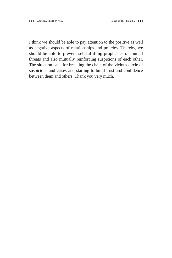I think we should be able to pay attention to the positive as well as negative aspects of relationships and policies. Thereby, we should be able to prevent self-fulfilling prophesies of mutual threats and also mutually reinforcing suspicions of each other. The situation calls for breaking the chain of the vicious circle of suspicions and crises and starting to build trust and confidence between them and others. Thank you very much.